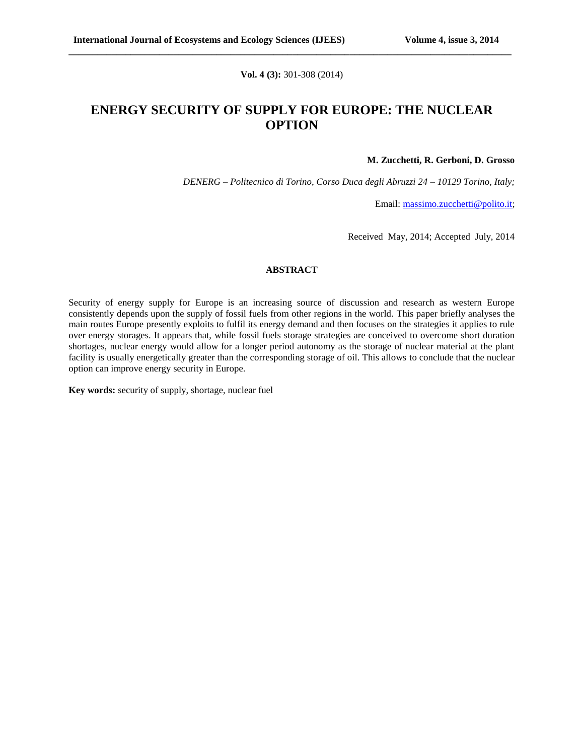**Vol. 4 (3):** 301-308 (2014)

**\_\_\_\_\_\_\_\_\_\_\_\_\_\_\_\_\_\_\_\_\_\_\_\_\_\_\_\_\_\_\_\_\_\_\_\_\_\_\_\_\_\_\_\_\_\_\_\_\_\_\_\_\_\_\_\_\_\_\_\_\_\_\_\_\_\_\_\_\_\_\_\_\_\_\_\_\_\_\_\_\_\_\_\_\_\_\_\_\_\_\_\_\_**

## **ENERGY SECURITY OF SUPPLY FOR EUROPE: THE NUCLEAR OPTION**

#### **M. Zucchetti, R. Gerboni, D. Grosso**

*DENERG – Politecnico di Torino, Corso Duca degli Abruzzi 24 – 10129 Torino, Italy;*

Email: [massimo.zucchetti@polito.it;](mailto:massimo.zucchetti@polito.it)

Received May, 2014; Accepted July, 2014

#### **ABSTRACT**

Security of energy supply for Europe is an increasing source of discussion and research as western Europe consistently depends upon the supply of fossil fuels from other regions in the world. This paper briefly analyses the main routes Europe presently exploits to fulfil its energy demand and then focuses on the strategies it applies to rule over energy storages. It appears that, while fossil fuels storage strategies are conceived to overcome short duration shortages, nuclear energy would allow for a longer period autonomy as the storage of nuclear material at the plant facility is usually energetically greater than the corresponding storage of oil. This allows to conclude that the nuclear option can improve energy security in Europe.

**Key words:** security of supply, shortage, nuclear fuel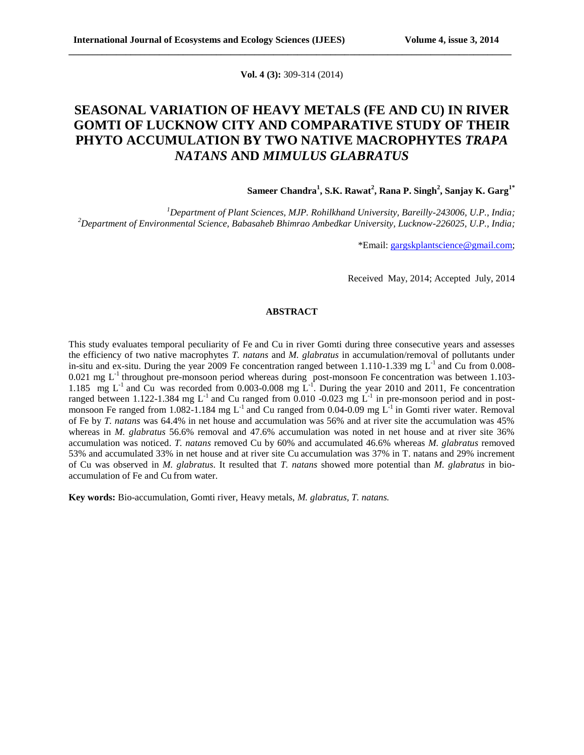**Vol. 4 (3):** 309-314 (2014)

**\_\_\_\_\_\_\_\_\_\_\_\_\_\_\_\_\_\_\_\_\_\_\_\_\_\_\_\_\_\_\_\_\_\_\_\_\_\_\_\_\_\_\_\_\_\_\_\_\_\_\_\_\_\_\_\_\_\_\_\_\_\_\_\_\_\_\_\_\_\_\_\_\_\_\_\_\_\_\_\_\_\_\_\_\_\_\_\_\_\_\_\_\_**

# **SEASONAL VARIATION OF HEAVY METALS (FE AND CU) IN RIVER GOMTI OF LUCKNOW CITY AND COMPARATIVE STUDY OF THEIR PHYTO ACCUMULATION BY TWO NATIVE MACROPHYTES** *TRAPA NATANS* **AND** *MIMULUS GLABRATUS*

**Sameer Chandra<sup>1</sup> , S.K. Rawat<sup>2</sup> , Rana P. Singh<sup>2</sup> , Sanjay K. Garg1\***

*<sup>1</sup>Department of Plant Sciences, MJP. Rohilkhand University, Bareilly-243006, U.P., India; <sup>2</sup>Department of Environmental Science, Babasaheb Bhimrao Ambedkar University, Lucknow-226025, U.P., India;*

\*Email: [gargskplantscience@gmail.com;](mailto:gargskplantscience@gmail.com)

Received May, 2014; Accepted July, 2014

#### **ABSTRACT**

This study evaluates temporal peculiarity of Fe and Cu in river Gomti during three consecutive years and assesses the efficiency of two native macrophytes *T. natans* and *M. glabratus* in accumulation/removal of pollutants under in-situ and ex-situ. During the year 2009 Fe concentration ranged between  $1.110$ -1.339 mg  $L<sup>-1</sup>$  and Cu from 0.008- $0.021$  mg L<sup>-1</sup> throughout pre-monsoon period whereas during post-monsoon Fe concentration was between 1.103-1.185 mg  $L^{-1}$  and Cu was recorded from 0.003-0.008 mg  $L^{-1}$ . During the year 2010 and 2011, Fe concentration ranged between 1.122-1.384 mg  $L^{-1}$  and Cu ranged from 0.010 -0.023 mg  $L^{-1}$  in pre-monsoon period and in postmonsoon Fe ranged from 1.082-1.184 mg  $L^{-1}$  and Cu ranged from 0.04-0.09 mg  $L^{-1}$  in Gomti river water. Removal of Fe by *T. natans* was 64.4% in net house and accumulation was 56% and at river site the accumulation was 45% whereas in *M. glabratus* 56.6% removal and 47.6% accumulation was noted in net house and at river site 36% accumulation was noticed. *T. natans* removed Cu by 60% and accumulated 46.6% whereas *M. glabratus* removed 53% and accumulated 33% in net house and at river site Cu accumulation was 37% in T. natans and 29% increment of Cu was observed in *M. glabratus*. It resulted that *T. natans* showed more potential than *M. glabratus* in bioaccumulation of Fe and Cu from water.

**Key words:** Bio-accumulation, Gomti river, Heavy metals, *M. glabratus, T. natans.*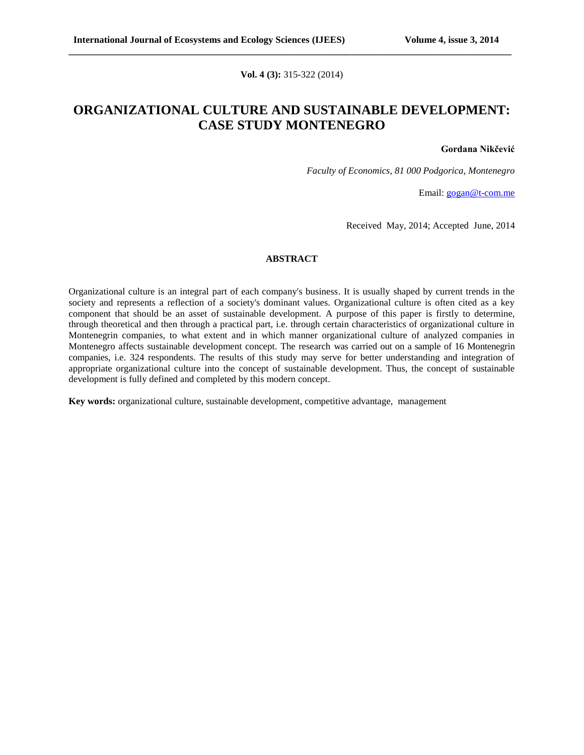### **Vol. 4 (3):** 315-322 (2014)

**\_\_\_\_\_\_\_\_\_\_\_\_\_\_\_\_\_\_\_\_\_\_\_\_\_\_\_\_\_\_\_\_\_\_\_\_\_\_\_\_\_\_\_\_\_\_\_\_\_\_\_\_\_\_\_\_\_\_\_\_\_\_\_\_\_\_\_\_\_\_\_\_\_\_\_\_\_\_\_\_\_\_\_\_\_\_\_\_\_\_\_\_\_**

# **ORGANIZATIONAL CULTURE AND SUSTAINABLE DEVELOPMENT: CASE STUDY MONTENEGRO**

#### **Gordana Nikčević**

*Faculty of Economics, 81 000 Podgorica, Montenegro*

Email: [gogan@t-com.me](mailto:gogan@t-com.me)

Received May, 2014; Accepted June, 2014

### **ABSTRACT**

Organizational culture is an integral part of each company's business. It is usually shaped by current trends in the society and represents a reflection of a society's dominant values. Organizational culture is often cited as a key component that should be an asset of sustainable development. A purpose of this paper is firstly to determine, through theoretical and then through a practical part, i.e. through certain characteristics of organizational culture in Montenegrin companies, to what extent and in which manner organizational culture of analyzed companies in Montenegro affects sustainable development concept. The research was carried out on a sample of 16 Montenegrin companies, i.e. 324 respondents. The results of this study may serve for better understanding and integration of appropriate organizational culture into the concept of sustainable development. Thus, the concept of sustainable development is fully defined and completed by this modern concept.

**Key words:** organizational culture, sustainable development, competitive advantage, management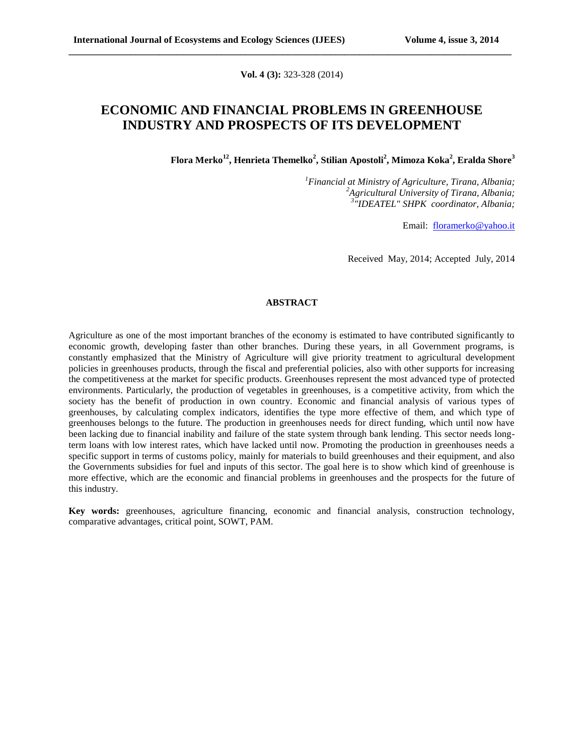**Vol. 4 (3):** 323-328 (2014)

**\_\_\_\_\_\_\_\_\_\_\_\_\_\_\_\_\_\_\_\_\_\_\_\_\_\_\_\_\_\_\_\_\_\_\_\_\_\_\_\_\_\_\_\_\_\_\_\_\_\_\_\_\_\_\_\_\_\_\_\_\_\_\_\_\_\_\_\_\_\_\_\_\_\_\_\_\_\_\_\_\_\_\_\_\_\_\_\_\_\_\_\_\_**

## **ECONOMIC AND FINANCIAL PROBLEMS IN GREENHOUSE INDUSTRY AND PROSPECTS OF ITS DEVELOPMENT**

**Flora Merko<sup>12</sup>, Henrieta Themelko<sup>2</sup> , Stilian Apostoli<sup>2</sup> , Mimoza Koka<sup>2</sup> , Eralda Shore<sup>3</sup>**

*<sup>1</sup>Financial at Ministry of Agriculture, Tirana, Albania; <sup>2</sup>Agricultural University of Tirana, Albania; 3 "IDEATEL" SHPK coordinator, Albania;*

Email: [floramerko@yahoo.it](mailto:floramerko@yahoo.it)

Received May, 2014; Accepted July, 2014

### **ABSTRACT**

Agriculture as one of the most important branches of the economy is estimated to have contributed significantly to economic growth, developing faster than other branches. During these years, in all Government programs, is constantly emphasized that the Ministry of Agriculture will give priority treatment to agricultural development policies in greenhouses products, through the fiscal and preferential policies, also with other supports for increasing the competitiveness at the market for specific products. Greenhouses represent the most advanced type of protected environments. Particularly, the production of vegetables in greenhouses, is a competitive activity, from which the society has the benefit of production in own country. Economic and financial analysis of various types of greenhouses, by calculating complex indicators, identifies the type more effective of them, and which type of greenhouses belongs to the future. The production in greenhouses needs for direct funding, which until now have been lacking due to financial inability and failure of the state system through bank lending. This sector needs longterm loans with low interest rates, which have lacked until now. Promoting the production in greenhouses needs a specific support in terms of customs policy, mainly for materials to build greenhouses and their equipment, and also the Governments subsidies for fuel and inputs of this sector. The goal here is to show which kind of greenhouse is more effective, which are the economic and financial problems in greenhouses and the prospects for the future of this industry.

**Key words:** greenhouses, agriculture financing, economic and financial analysis, construction technology, comparative advantages, critical point, SOWT, PAM.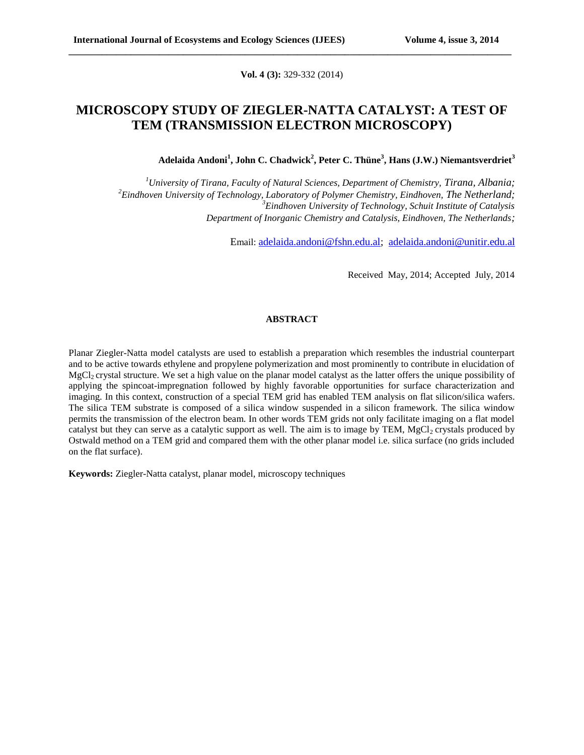**Vol. 4 (3):** 329-332 (2014)

**\_\_\_\_\_\_\_\_\_\_\_\_\_\_\_\_\_\_\_\_\_\_\_\_\_\_\_\_\_\_\_\_\_\_\_\_\_\_\_\_\_\_\_\_\_\_\_\_\_\_\_\_\_\_\_\_\_\_\_\_\_\_\_\_\_\_\_\_\_\_\_\_\_\_\_\_\_\_\_\_\_\_\_\_\_\_\_\_\_\_\_\_\_**

### **MICROSCOPY STUDY OF ZIEGLER-NATTA CATALYST: A TEST OF TEM (TRANSMISSION ELECTRON MICROSCOPY)**

**Adelaida Andoni<sup>1</sup> , John C. Chadwick<sup>2</sup> , Peter C. Thüne<sup>3</sup> , Hans (J.W.) Niemantsverdriet<sup>3</sup>**

*<sup>1</sup>University of Tirana, Faculty of Natural Sciences, Department of Chemistry, Tirana, Albania;* <sup>2</sup>*Eindhoven University of Technology, Laboratory of Polymer Chemistry, Eindhoven, The Netherland; <sup>3</sup>Eindhoven University of Technology, Schuit Institute of Catalysis Department of Inorganic Chemistry and Catalysis, Eindhoven, The Netherlands;*

Email: [adelaida.andoni@fshn.edu.al;](mailto:adelaida.andoni@fshn.edu.al) [adelaida.andoni@unitir.edu.al](mailto:adelaida.andoni@unitir.edu.al)

Received May, 2014; Accepted July, 2014

#### **ABSTRACT**

Planar Ziegler-Natta model catalysts are used to establish a preparation which resembles the industrial counterpart and to be active towards ethylene and propylene polymerization and most prominently to contribute in elucidation of MgCl<sub>2</sub> crystal structure. We set a high value on the planar model catalyst as the latter offers the unique possibility of applying the spincoat-impregnation followed by highly favorable opportunities for surface characterization and imaging. In this context, construction of a special TEM grid has enabled TEM analysis on flat silicon/silica wafers. The silica TEM substrate is composed of a silica window suspended in a silicon framework. The silica window permits the transmission of the electron beam. In other words TEM grids not only facilitate imaging on a flat model catalyst but they can serve as a catalytic support as well. The aim is to image by TEM,  $MgCl<sub>2</sub>$  crystals produced by Ostwald method on a TEM grid and compared them with the other planar model i.e. silica surface (no grids included on the flat surface).

**Keywords:** Ziegler-Natta catalyst, planar model, microscopy techniques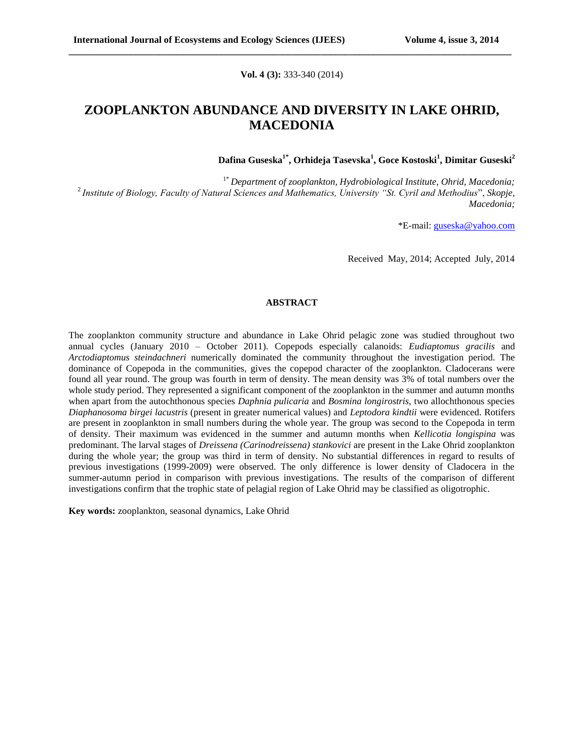#### **Vol. 4 (3):** 333-340 (2014)

**\_\_\_\_\_\_\_\_\_\_\_\_\_\_\_\_\_\_\_\_\_\_\_\_\_\_\_\_\_\_\_\_\_\_\_\_\_\_\_\_\_\_\_\_\_\_\_\_\_\_\_\_\_\_\_\_\_\_\_\_\_\_\_\_\_\_\_\_\_\_\_\_\_\_\_\_\_\_\_\_\_\_\_\_\_\_\_\_\_\_\_\_\_**

# **ZOOPLANKTON ABUNDANCE AND DIVERSITY IN LAKE OHRID, MACEDONIA**

**Dafina Guseska1\*, Orhideja Tasevska<sup>1</sup> , Goce Kostoski<sup>1</sup> , Dimitar Guseski<sup>2</sup>**

1\* *Department of zooplankton, Hydrobiological Institute, Ohrid, Macedonia;* <sup>2</sup>*Institute of Biology, Faculty of Natural Sciences and Mathematics, University "St. Cyril and Methodius*", *Skopje, Macedonia;*

\*E-mail: [guseska@yahoo.com](mailto:guseska@yahoo.com)

Received May, 2014; Accepted July, 2014

#### **ABSTRACT**

The zooplankton community structure and abundance in Lake Ohrid pelagic zone was studied throughout two annual cycles (January 2010 – October 2011). Copepods especially calanoids: *Eudiaptomus gracilis* and *Arctodiaptomus steindachneri* numerically dominated the community throughout the investigation period. The dominance of Copepoda in the communities, gives the copepod character of the zooplankton. Cladocerans were found all year round. The group was fourth in term of density. The mean density was 3% of total numbers over the whole study period. They represented a significant component of the zooplankton in the summer and autumn months when apart from the autochthonous species *Daphnia pulicaria* and *Bosmina longirostris,* two allochthonous species *Diaphanosoma birgei lacustris* (present in greater numerical values) and *Leptodora kindtii* were evidenced. Rotifers are present in zooplankton in small numbers during the whole year. The group was second to the Copepoda in term of density. Their maximum was evidenced in the summer and autumn months when *Kellicotia longispina* was predominant. The larval stages of *Dreissena (Carinodreissena) stankovici* are present in the Lake Ohrid zooplankton during the whole year; the group was third in term of density. No substantial differences in regard to results of previous investigations (1999-2009) were observed. The only difference is lower density of Cladocera in the summer-autumn period in comparison with previous investigations. The results of the comparison of different investigations confirm that the trophic state of pelagial region of Lake Ohrid may be classified as oligotrophic.

**Key words:** zooplankton, seasonal dynamics, Lake Ohrid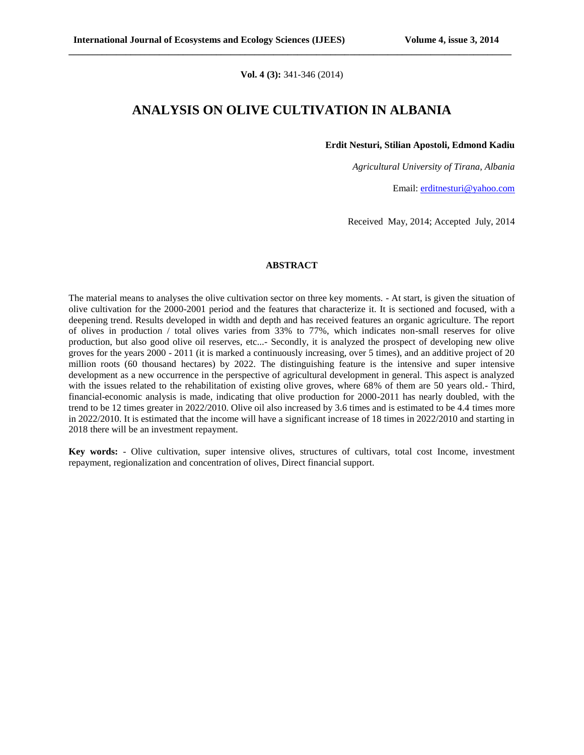**Vol. 4 (3):** 341-346 (2014)

**\_\_\_\_\_\_\_\_\_\_\_\_\_\_\_\_\_\_\_\_\_\_\_\_\_\_\_\_\_\_\_\_\_\_\_\_\_\_\_\_\_\_\_\_\_\_\_\_\_\_\_\_\_\_\_\_\_\_\_\_\_\_\_\_\_\_\_\_\_\_\_\_\_\_\_\_\_\_\_\_\_\_\_\_\_\_\_\_\_\_\_\_\_**

### **ANALYSIS ON OLIVE CULTIVATION IN ALBANIA**

**Erdit Nesturi, Stilian Apostoli, Edmond Kadiu**

*Agricultural University of Tirana, Albania*

Email: [erditnesturi@yahoo.com](mailto:erditnesturi@yahoo.com)

Received May, 2014; Accepted July, 2014

#### **ABSTRACT**

The material means to analyses the olive cultivation sector on three key moments. - At start, is given the situation of olive cultivation for the 2000-2001 period and the features that characterize it. It is sectioned and focused, with a deepening trend. Results developed in width and depth and has received features an organic agriculture. The report of olives in production / total olives varies from 33% to 77%, which indicates non-small reserves for olive production, but also good olive oil reserves, etc...- Secondly, it is analyzed the prospect of developing new olive groves for the years 2000 - 2011 (it is marked a continuously increasing, over 5 times), and an additive project of 20 million roots (60 thousand hectares) by 2022. The distinguishing feature is the intensive and super intensive development as a new occurrence in the perspective of agricultural development in general. This aspect is analyzed with the issues related to the rehabilitation of existing olive groves, where 68% of them are 50 years old.- Third, financial-economic analysis is made, indicating that olive production for 2000-2011 has nearly doubled, with the trend to be 12 times greater in 2022/2010. Olive oil also increased by 3.6 times and is estimated to be 4.4 times more in 2022/2010. It is estimated that the income will have a significant increase of 18 times in 2022/2010 and starting in 2018 there will be an investment repayment.

**Key words:** - Olive cultivation, super intensive olives, structures of cultivars, total cost Income, investment repayment, regionalization and concentration of olives, Direct financial support.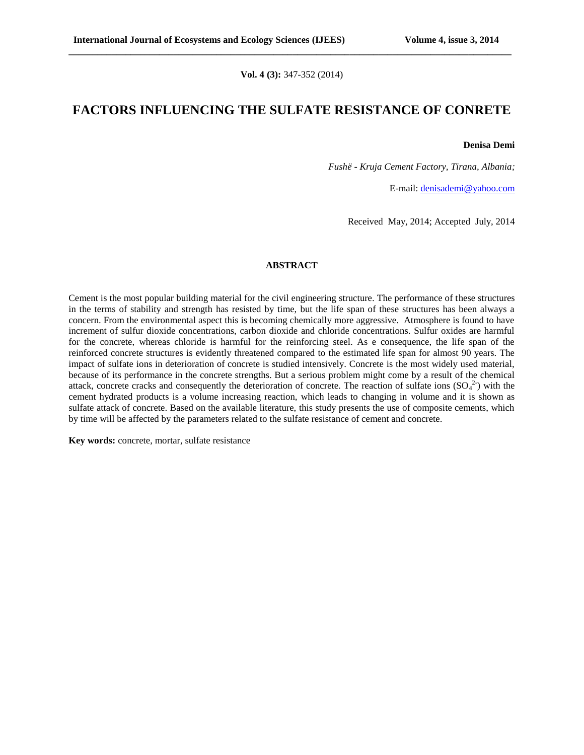**Vol. 4 (3):** 347-352 (2014)

**\_\_\_\_\_\_\_\_\_\_\_\_\_\_\_\_\_\_\_\_\_\_\_\_\_\_\_\_\_\_\_\_\_\_\_\_\_\_\_\_\_\_\_\_\_\_\_\_\_\_\_\_\_\_\_\_\_\_\_\_\_\_\_\_\_\_\_\_\_\_\_\_\_\_\_\_\_\_\_\_\_\_\_\_\_\_\_\_\_\_\_\_\_**

### **FACTORS INFLUENCING THE SULFATE RESISTANCE OF CONRETE**

#### **Denisa Demi**

*Fushë - Kruja Cement Factory, Tirana, Albania;*

E-mail: [denisademi@yahoo.com](mailto:denisademi@yahoo.com)

Received May, 2014; Accepted July, 2014

#### **ABSTRACT**

Cement is the most popular building material for the civil engineering structure. The performance of these structures in the terms of stability and strength has resisted by time, but the life span of these structures has been always a concern. From the environmental aspect this is becoming chemically more aggressive. Atmosphere is found to have increment of sulfur dioxide concentrations, carbon dioxide and chloride concentrations. Sulfur oxides are harmful for the concrete, whereas chloride is harmful for the reinforcing steel. As e consequence, the life span of the reinforced concrete structures is evidently threatened compared to the estimated life span for almost 90 years. The impact of sulfate ions in deterioration of concrete is studied intensively. Concrete is the most widely used material, because of its performance in the concrete strengths. But a serious problem might come by a result of the chemical attack, concrete cracks and consequently the deterioration of concrete. The reaction of sulfate ions  $(SO<sub>4</sub><sup>2</sup>)$  with the cement hydrated products is a volume increasing reaction, which leads to changing in volume and it is shown as sulfate attack of concrete. Based on the available literature, this study presents the use of composite cements, which by time will be affected by the parameters related to the sulfate resistance of cement and concrete.

**Key words:** concrete, mortar, sulfate resistance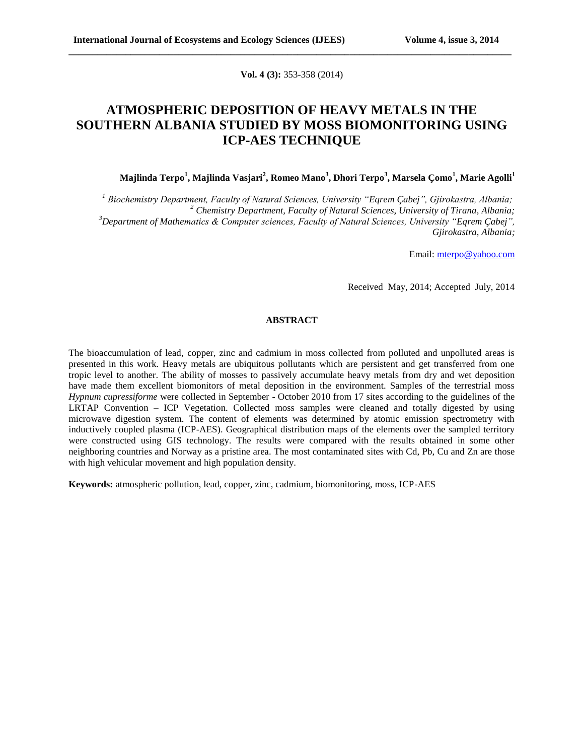**Vol. 4 (3):** 353-358 (2014)

**\_\_\_\_\_\_\_\_\_\_\_\_\_\_\_\_\_\_\_\_\_\_\_\_\_\_\_\_\_\_\_\_\_\_\_\_\_\_\_\_\_\_\_\_\_\_\_\_\_\_\_\_\_\_\_\_\_\_\_\_\_\_\_\_\_\_\_\_\_\_\_\_\_\_\_\_\_\_\_\_\_\_\_\_\_\_\_\_\_\_\_\_\_**

# **ATMOSPHERIC DEPOSITION OF HEAVY METALS IN THE SOUTHERN ALBANIA STUDIED BY MOSS BIOMONITORING USING ICP-AES TECHNIQUE**

### **Majlinda Terpo<sup>1</sup> , Majlinda Vasjari<sup>2</sup> , Romeo Mano<sup>3</sup> , Dhori Terpo<sup>3</sup> , Marsela Çomo<sup>1</sup> , Marie Agolli<sup>1</sup>**

 *Biochemistry Department, Faculty of Natural Sciences, University "Eqrem Çabej", Gjirokastra, Albania; Chemistry Department, Faculty of Natural Sciences, University of Tirana, Albania; Department of Mathematics & Computer sciences, Faculty of Natural Sciences, University "Eqrem Çabej", Gjirokastra, Albania;*

Email: [mterpo@yahoo.com](mailto:mterpo@yahoo.com)

Received May, 2014; Accepted July, 2014

### **ABSTRACT**

The bioaccumulation of lead, copper, zinc and cadmium in moss collected from polluted and unpolluted areas is presented in this work. Heavy metals are ubiquitous pollutants which are persistent and get transferred from one tropic level to another. The ability of mosses to passively accumulate heavy metals from dry and wet deposition have made them excellent biomonitors of metal deposition in the environment. Samples of the terrestrial moss *Hypnum cupressiforme* were collected in September - October 2010 from 17 sites according to the guidelines of the LRTAP Convention – ICP Vegetation. Collected moss samples were cleaned and totally digested by using microwave digestion system. The content of elements was determined by atomic emission spectrometry with inductively coupled plasma (ICP-AES). Geographical distribution maps of the elements over the sampled territory were constructed using GIS technology. The results were compared with the results obtained in some other neighboring countries and Norway as a pristine area. The most contaminated sites with Cd, Pb, Cu and Zn are those with high vehicular movement and high population density.

**Keywords:** atmospheric pollution, lead, copper, zinc, cadmium, biomonitoring, moss, ICP-AES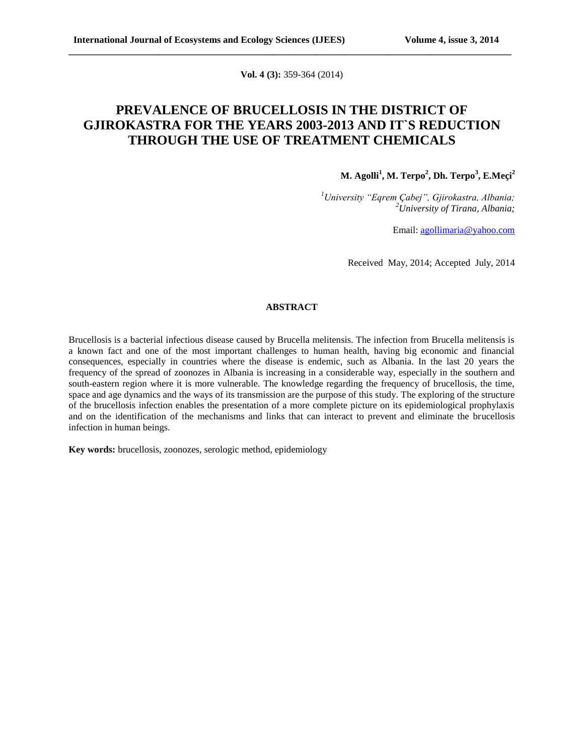**Vol. 4 (3):** 359-364 (2014)

**\_\_\_\_\_\_\_\_\_\_\_\_\_\_\_\_\_\_\_\_\_\_\_\_\_\_\_\_\_\_\_\_\_\_\_\_\_\_\_\_\_\_\_\_\_\_\_\_\_\_\_\_\_\_\_\_\_\_\_\_\_\_\_\_\_\_\_\_\_\_\_\_\_\_\_\_\_\_\_\_\_\_\_\_\_\_\_\_\_\_\_\_\_**

## **PREVALENCE OF BRUCELLOSIS IN THE DISTRICT OF GJIROKASTRA FOR THE YEARS 2003-2013 AND IT`S REDUCTION THROUGH THE USE OF TREATMENT CHEMICALS**

**M. Agolli<sup>1</sup> , M. Terpo<sup>2</sup> , Dh. Terpo<sup>3</sup> , E.Meçi<sup>2</sup>**

*<sup>1</sup>University "Eqrem Çabej", Gjirokastra, Albania; <sup>2</sup>University of Tirana, Albania;*

Email: [agollimaria@yahoo.com](mailto:agollimaria@yahoo.com)

Received May, 2014; Accepted July, 2014

### **ABSTRACT**

Brucellosis is a bacterial infectious disease caused by Brucella melitensis. The infection from Brucella melitensis is a known fact and one of the most important challenges to human health, having big economic and financial consequences, especially in countries where the disease is endemic, such as Albania. In the last 20 years the frequency of the spread of zoonozes in Albania is increasing in a considerable way, especially in the southern and south-eastern region where it is more vulnerable. The knowledge regarding the frequency of brucellosis, the time, space and age dynamics and the ways of its transmission are the purpose of this study. The exploring of the structure of the brucellosis infection enables the presentation of a more complete picture on its epidemiological prophylaxis and on the identification of the mechanisms and links that can interact to prevent and eliminate the brucellosis infection in human beings.

**Key words:** brucellosis, zoonozes, serologic method, epidemiology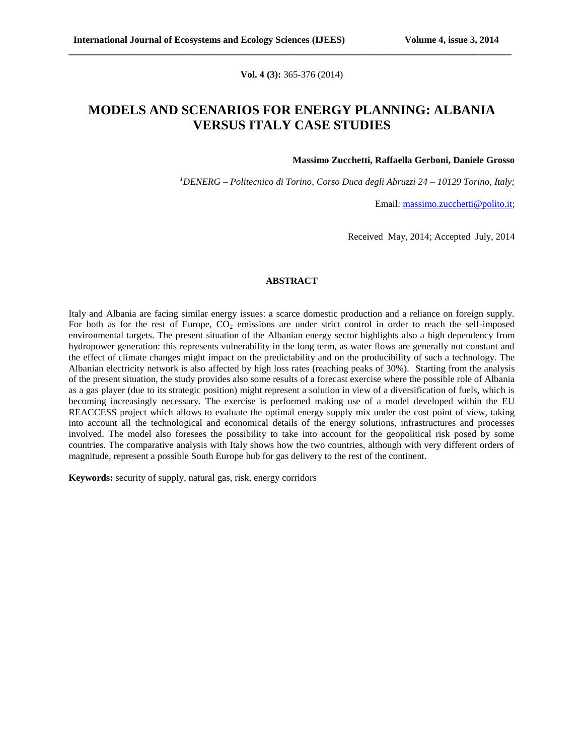**Vol. 4 (3):** 365-376 (2014)

**\_\_\_\_\_\_\_\_\_\_\_\_\_\_\_\_\_\_\_\_\_\_\_\_\_\_\_\_\_\_\_\_\_\_\_\_\_\_\_\_\_\_\_\_\_\_\_\_\_\_\_\_\_\_\_\_\_\_\_\_\_\_\_\_\_\_\_\_\_\_\_\_\_\_\_\_\_\_\_\_\_\_\_\_\_\_\_\_\_\_\_\_\_**

## **MODELS AND SCENARIOS FOR ENERGY PLANNING: ALBANIA VERSUS ITALY CASE STUDIES**

#### **Massimo Zucchetti, Raffaella Gerboni, Daniele Grosso**

*<sup>1</sup>DENERG – Politecnico di Torino, Corso Duca degli Abruzzi 24 – 10129 Torino, Italy;*

Email: [massimo.zucchetti@polito.it;](mailto:massimo.zucchetti@polito.it)

Received May, 2014; Accepted July, 2014

#### **ABSTRACT**

Italy and Albania are facing similar energy issues: a scarce domestic production and a reliance on foreign supply. For both as for the rest of Europe,  $CO<sub>2</sub>$  emissions are under strict control in order to reach the self-imposed environmental targets. The present situation of the Albanian energy sector highlights also a high dependency from hydropower generation: this represents vulnerability in the long term, as water flows are generally not constant and the effect of climate changes might impact on the predictability and on the producibility of such a technology. The Albanian electricity network is also affected by high loss rates (reaching peaks of 30%). Starting from the analysis of the present situation, the study provides also some results of a forecast exercise where the possible role of Albania as a gas player (due to its strategic position) might represent a solution in view of a diversification of fuels, which is becoming increasingly necessary. The exercise is performed making use of a model developed within the EU REACCESS project which allows to evaluate the optimal energy supply mix under the cost point of view, taking into account all the technological and economical details of the energy solutions, infrastructures and processes involved. The model also foresees the possibility to take into account for the geopolitical risk posed by some countries. The comparative analysis with Italy shows how the two countries, although with very different orders of magnitude, represent a possible South Europe hub for gas delivery to the rest of the continent.

**Keywords:** security of supply, natural gas, risk, energy corridors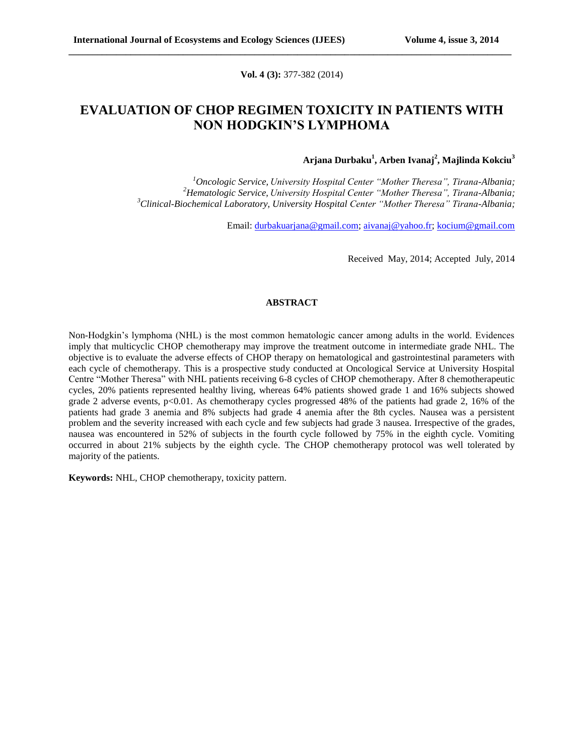**Vol. 4 (3):** 377-382 (2014)

**\_\_\_\_\_\_\_\_\_\_\_\_\_\_\_\_\_\_\_\_\_\_\_\_\_\_\_\_\_\_\_\_\_\_\_\_\_\_\_\_\_\_\_\_\_\_\_\_\_\_\_\_\_\_\_\_\_\_\_\_\_\_\_\_\_\_\_\_\_\_\_\_\_\_\_\_\_\_\_\_\_\_\_\_\_\_\_\_\_\_\_\_\_**

## **EVALUATION OF CHOP REGIMEN TOXICITY IN PATIENTS WITH NON HODGKIN'S LYMPHOMA**

### **Arjana Durbaku<sup>1</sup> , Arben Ivanaj<sup>2</sup> , Majlinda Kokciu<sup>3</sup>**

*<sup>1</sup>Oncologic Service, University Hospital Center "Mother Theresa", Tirana-Albania; <sup>2</sup>Hematologic Service, University Hospital Center "Mother Theresa", Tirana-Albania; <sup>3</sup>Clinical-Biochemical Laboratory, University Hospital Center "Mother Theresa" Tirana-Albania;*

Email: [durbakuarjana@gmail.com;](mailto:durbakuarjana@gmail.com) [aivanaj@yahoo.fr;](mailto:aivanaj@yahoo.fr) [kocium@gmail.com](mailto:kocium@gmail.com)

Received May, 2014; Accepted July, 2014

#### **ABSTRACT**

Non-Hodgkin's lymphoma (NHL) is the most common hematologic cancer among adults in the world. Evidences imply that multicyclic CHOP chemotherapy may improve the treatment outcome in intermediate grade NHL. The objective is to evaluate the adverse effects of CHOP therapy on hematological and gastrointestinal parameters with each cycle of chemotherapy. This is a prospective study conducted at Oncological Service at University Hospital Centre "Mother Theresa" with NHL patients receiving 6-8 cycles of CHOP chemotherapy. After 8 chemotherapeutic cycles, 20% patients represented healthy living, whereas 64% patients showed grade 1 and 16% subjects showed grade 2 adverse events, p<0.01. As chemotherapy cycles progressed 48% of the patients had grade 2, 16% of the patients had grade 3 anemia and 8% subjects had grade 4 anemia after the 8th cycles. Nausea was a persistent problem and the severity increased with each cycle and few subjects had grade 3 nausea. Irrespective of the grades, nausea was encountered in 52% of subjects in the fourth cycle followed by 75% in the eighth cycle. Vomiting occurred in about 21% subjects by the eighth cycle. The CHOP chemotherapy protocol was well tolerated by majority of the patients.

**Keywords:** NHL, CHOP chemotherapy, toxicity pattern.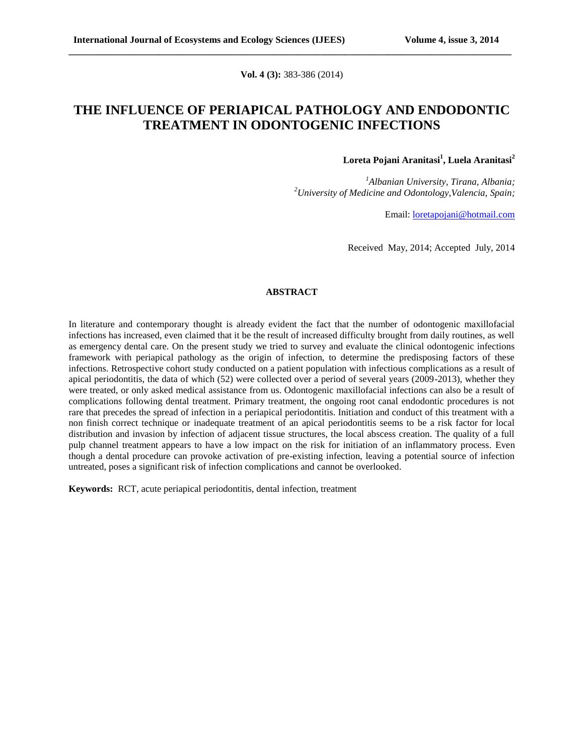**Vol. 4 (3):** 383-386 (2014)

**\_\_\_\_\_\_\_\_\_\_\_\_\_\_\_\_\_\_\_\_\_\_\_\_\_\_\_\_\_\_\_\_\_\_\_\_\_\_\_\_\_\_\_\_\_\_\_\_\_\_\_\_\_\_\_\_\_\_\_\_\_\_\_\_\_\_\_\_\_\_\_\_\_\_\_\_\_\_\_\_\_\_\_\_\_\_\_\_\_\_\_\_\_**

## **THE INFLUENCE OF PERIAPICAL PATHOLOGY AND ENDODONTIC TREATMENT IN ODONTOGENIC INFECTIONS**

### **Loreta Pojani Aranitasi<sup>1</sup> , Luela Aranitasi<sup>2</sup>**

*<sup>1</sup>Albanian University, Tirana, Albania; <sup>2</sup>University of Medicine and Odontology,Valencia, Spain;*

Email: [loretapojani@hotmail.com](mailto:loretapojani@hotmail.com)

Received May, 2014; Accepted July, 2014

#### **ABSTRACT**

In literature and contemporary thought is already evident the fact that the number of odontogenic maxillofacial infections has increased, even claimed that it be the result of increased difficulty brought from daily routines, as well as emergency dental care. On the present study we tried to survey and evaluate the clinical odontogenic infections framework with periapical pathology as the origin of infection, to determine the predisposing factors of these infections. Retrospective cohort study conducted on a patient population with infectious complications as a result of apical periodontitis, the data of which (52) were collected over a period of several years (2009-2013), whether they were treated, or only asked medical assistance from us. Odontogenic maxillofacial infections can also be a result of complications following dental treatment. Primary treatment, the ongoing root canal endodontic procedures is not rare that precedes the spread of infection in a periapical periodontitis. Initiation and conduct of this treatment with a non finish correct technique or inadequate treatment of an apical periodontitis seems to be a risk factor for local distribution and invasion by infection of adjacent tissue structures, the local abscess creation. The quality of a full pulp channel treatment appears to have a low impact on the risk for initiation of an inflammatory process. Even though a dental procedure can provoke activation of pre-existing infection, leaving a potential source of infection untreated, poses a significant risk of infection complications and cannot be overlooked.

**Keywords:** RCT, acute periapical periodontitis, dental infection, treatment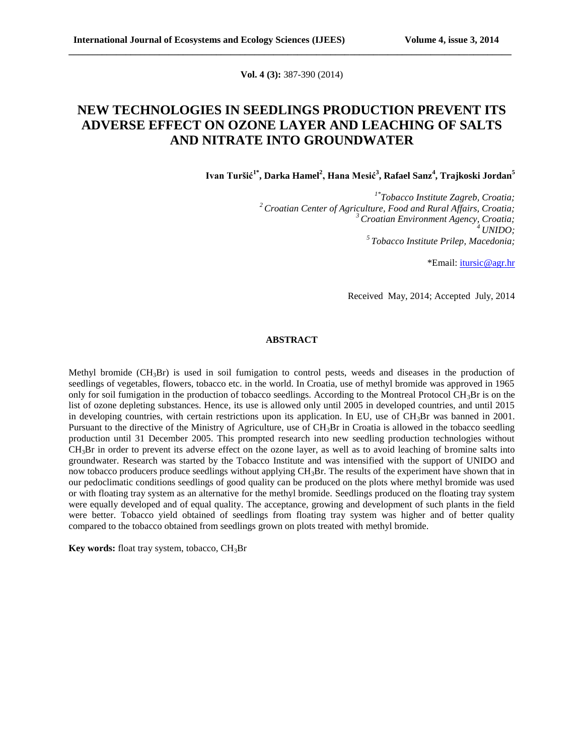**Vol. 4 (3):** 387-390 (2014)

**\_\_\_\_\_\_\_\_\_\_\_\_\_\_\_\_\_\_\_\_\_\_\_\_\_\_\_\_\_\_\_\_\_\_\_\_\_\_\_\_\_\_\_\_\_\_\_\_\_\_\_\_\_\_\_\_\_\_\_\_\_\_\_\_\_\_\_\_\_\_\_\_\_\_\_\_\_\_\_\_\_\_\_\_\_\_\_\_\_\_\_\_\_**

# **NEW TECHNOLOGIES IN SEEDLINGS PRODUCTION PREVENT ITS ADVERSE EFFECT ON OZONE LAYER AND LEACHING OF SALTS AND NITRATE INTO GROUNDWATER**

**Ivan Turšić1\*, Darka Hamel<sup>2</sup> , Hana Mesić<sup>3</sup> , Rafael Sanz<sup>4</sup> , Trajkoski Jordan<sup>5</sup>**

*1\*Tobacco Institute Zagreb, Croatia; <sup>2</sup>Croatian Center of Agriculture, Food and Rural Affairs, Croatia; <sup>3</sup>Croatian Environment Agency, Croatia; <sup>4</sup>UNIDO; <sup>5</sup>Tobacco Institute Prilep, Macedonia;*

\*Email: [itursic@agr.hr](mailto:itursic@agr.hr)

Received May, 2014; Accepted July, 2014

### **ABSTRACT**

Methyl bromide  $(CH_3Br)$  is used in soil fumigation to control pests, weeds and diseases in the production of seedlings of vegetables, flowers, tobacco etc. in the world. In Croatia, use of methyl bromide was approved in 1965 only for soil fumigation in the production of tobacco seedlings. According to the Montreal Protocol CH<sub>3</sub>Br is on the list of ozone depleting substances. Hence, its use is allowed only until 2005 in developed countries, and until 2015 in developing countries, with certain restrictions upon its application. In EU, use of  $CH_3Br$  was banned in 2001. Pursuant to the directive of the Ministry of Agriculture, use of CH<sub>3</sub>Br in Croatia is allowed in the tobacco seedling production until 31 December 2005. This prompted research into new seedling production technologies without  $CH<sub>3</sub>Br$  in order to prevent its adverse effect on the ozone layer, as well as to avoid leaching of bromine salts into groundwater. Research was started by the Tobacco Institute and was intensified with the support of UNIDO and now tobacco producers produce seedlings without applying CH3Br. The results of the experiment have shown that in our pedoclimatic conditions seedlings of good quality can be produced on the plots where methyl bromide was used or with floating tray system as an alternative for the methyl bromide. Seedlings produced on the floating tray system were equally developed and of equal quality. The acceptance, growing and development of such plants in the field were better. Tobacco yield obtained of seedlings from floating tray system was higher and of better quality compared to the tobacco obtained from seedlings grown on plots treated with methyl bromide.

**Key words:** float tray system, tobacco, CH<sub>3</sub>Br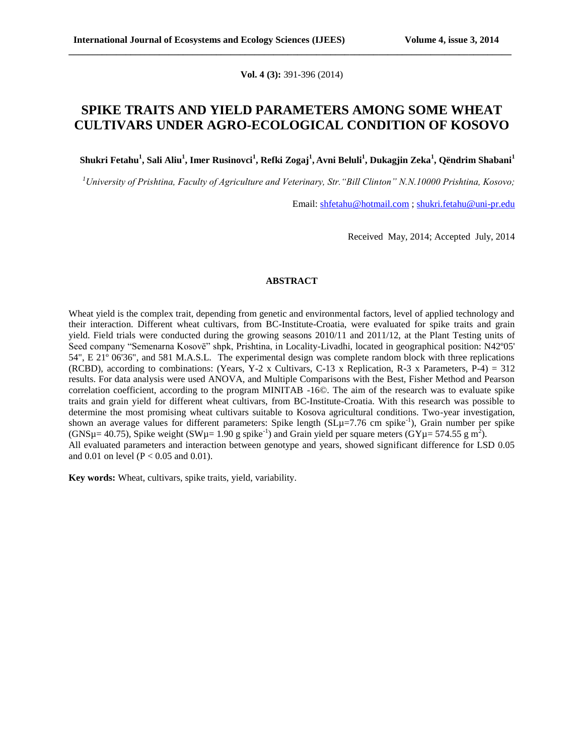**Vol. 4 (3):** 391-396 (2014)

**\_\_\_\_\_\_\_\_\_\_\_\_\_\_\_\_\_\_\_\_\_\_\_\_\_\_\_\_\_\_\_\_\_\_\_\_\_\_\_\_\_\_\_\_\_\_\_\_\_\_\_\_\_\_\_\_\_\_\_\_\_\_\_\_\_\_\_\_\_\_\_\_\_\_\_\_\_\_\_\_\_\_\_\_\_\_\_\_\_\_\_\_\_**

### **SPIKE TRAITS AND YIELD PARAMETERS AMONG SOME WHEAT CULTIVARS UNDER AGRO-ECOLOGICAL CONDITION OF KOSOVO**

**Shukri Fetahu<sup>1</sup> , Sali Aliu<sup>1</sup> , Imer Rusinovci<sup>1</sup> , Refki Zogaj<sup>1</sup> , Avni Beluli<sup>1</sup> , Dukagjin Zeka<sup>1</sup> , Qëndrim Shabani<sup>1</sup>**

*<sup>1</sup>University of Prishtina, Faculty of Agriculture and Veterinary, Str."Bill Clinton" N.N.10000 Prishtina, Kosovo;*

Email: [shfetahu@hotmail.com](mailto:shfetahu@hotmail.com) ; [shukri.fetahu@uni-pr.edu](mailto:shukri.fetahu@uni-pr.edu)

Received May, 2014; Accepted July, 2014

### **ABSTRACT**

Wheat yield is the complex trait, depending from genetic and environmental factors, level of applied technology and their interaction. Different wheat cultivars, from BC-Institute-Croatia, were evaluated for spike traits and grain yield. Field trials were conducted during the growing seasons 2010/11 and 2011/12, at the Plant Testing units of Seed company "Semenarna Kosovё" shpk, Prishtina, in Locality-Livadhi, located in geographical position: N42º05' 54", E 21º 06'36", and 581 M.A.S.L. The experimental design was complete random block with three replications (RCBD), according to combinations: (Years, Y-2 x Cultivars, C-13 x Replication, R-3 x Parameters, P-4) = 312 results. For data analysis were used ANOVA, and Multiple Comparisons with the Best, Fisher Method and Pearson correlation coefficient, according to the program MINITAB -16©. The aim of the research was to evaluate spike traits and grain yield for different wheat cultivars, from BC-Institute-Croatia. With this research was possible to determine the most promising wheat cultivars suitable to Kosova agricultural conditions. Two-year investigation, shown an average values for different parameters: Spike length  $(SL\mu=7.76$  cm spike<sup>-1</sup>), Grain number per spike (GNSµ= 40.75), Spike weight (SWµ= 1.90 g spike<sup>-1</sup>) and Grain yield per square meters (GYµ= 574.55 g m<sup>2</sup>). All evaluated parameters and interaction between genotype and years, showed significant difference for LSD 0.05 and 0.01 on level ( $P < 0.05$  and 0.01).

**Key words:** Wheat, cultivars, spike traits, yield, variability.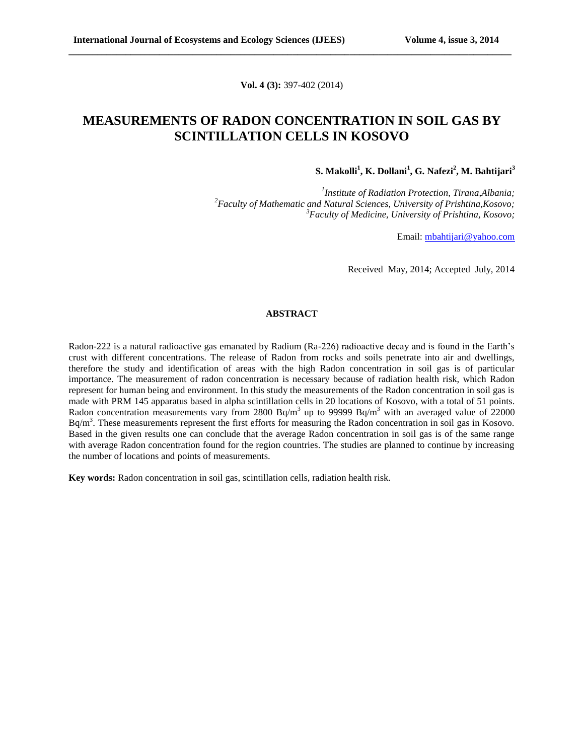**Vol. 4 (3):** 397-402 (2014)

**\_\_\_\_\_\_\_\_\_\_\_\_\_\_\_\_\_\_\_\_\_\_\_\_\_\_\_\_\_\_\_\_\_\_\_\_\_\_\_\_\_\_\_\_\_\_\_\_\_\_\_\_\_\_\_\_\_\_\_\_\_\_\_\_\_\_\_\_\_\_\_\_\_\_\_\_\_\_\_\_\_\_\_\_\_\_\_\_\_\_\_\_\_**

### **MEASUREMENTS OF RADON CONCENTRATION IN SOIL GAS BY SCINTILLATION CELLS IN KOSOVO**

**S. Makolli<sup>1</sup> , K. Dollani<sup>1</sup> , G. Nafezi<sup>2</sup> , M. Bahtijari<sup>3</sup>**

*1 Institute of Radiation Protection, Tirana,Albania; <sup>2</sup>Faculty of Mathematic and Natural Sciences, University of Prishtina,Kosovo; <sup>3</sup>Faculty of Medicine, University of Prishtina, Kosovo;*

Email: [mbahtijari@yahoo.com](mailto:mbahtijari@yahoo.com)

Received May, 2014; Accepted July, 2014

#### **ABSTRACT**

Radon-222 is a natural radioactive gas emanated by Radium (Ra-226) radioactive decay and is found in the Earth's crust with different concentrations. The release of Radon from rocks and soils penetrate into air and dwellings, therefore the study and identification of areas with the high Radon concentration in soil gas is of particular importance. The measurement of radon concentration is necessary because of radiation health risk, which Radon represent for human being and environment. In this study the measurements of the Radon concentration in soil gas is made with PRM 145 apparatus based in alpha scintillation cells in 20 locations of Kosovo, with a total of 51 points. Radon concentration measurements vary from 2800 Bq/m<sup>3</sup> up to 99999 Bq/m<sup>3</sup> with an averaged value of 22000 Bq/m<sup>3</sup>. These measurements represent the first efforts for measuring the Radon concentration in soil gas in Kosovo. Based in the given results one can conclude that the average Radon concentration in soil gas is of the same range with average Radon concentration found for the region countries. The studies are planned to continue by increasing the number of locations and points of measurements.

**Key words:** Radon concentration in soil gas, scintillation cells, radiation health risk.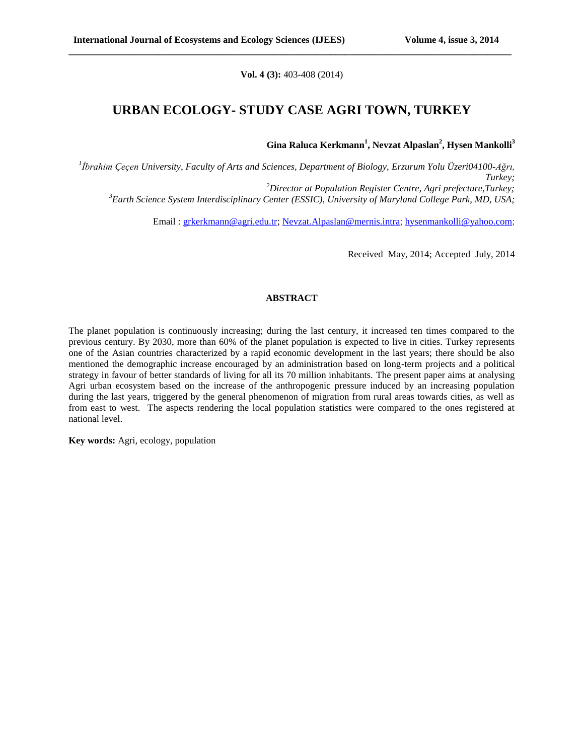**Vol. 4 (3):** 403-408 (2014)

**\_\_\_\_\_\_\_\_\_\_\_\_\_\_\_\_\_\_\_\_\_\_\_\_\_\_\_\_\_\_\_\_\_\_\_\_\_\_\_\_\_\_\_\_\_\_\_\_\_\_\_\_\_\_\_\_\_\_\_\_\_\_\_\_\_\_\_\_\_\_\_\_\_\_\_\_\_\_\_\_\_\_\_\_\_\_\_\_\_\_\_\_\_**

# **URBAN ECOLOGY- STUDY CASE AGRI TOWN, TURKEY**

**Gina Raluca Kerkmann<sup>1</sup> , Nevzat Alpaslan<sup>2</sup> , Hysen Mankolli<sup>3</sup>**

 *İbrahim Çeçen University, Faculty of Arts and Sciences, Department of Biology, Erzurum Yolu Üzeri04100-Ağrı, Turkey; Director at Population Register Centre, Agri prefecture,Turkey; Earth Science System Interdisciplinary Center (ESSIC), University of Maryland College Park, MD, USA;*

Email : [grkerkmann@agri.edu.tr;](mailto:grkerkmann@agri.edu.tr) [Nevzat.Alpaslan@mernis.intra;](mailto:Nevzat.Alpaslan@mernis.intra) [hysenmankolli@yahoo.com;](mailto:hysenmankolli@yahoo.com)

Received May, 2014; Accepted July, 2014

### **ABSTRACT**

The planet population is continuously increasing; during the last century, it increased ten times compared to the previous century. By 2030, more than 60% of the planet population is expected to live in cities. Turkey represents one of the Asian countries characterized by a rapid economic development in the last years; there should be also mentioned the demographic increase encouraged by an administration based on long-term projects and a political strategy in favour of better standards of living for all its 70 million inhabitants. The present paper aims at analysing Agri urban ecosystem based on the increase of the anthropogenic pressure induced by an increasing population during the last years, triggered by the general phenomenon of migration from rural areas towards cities, as well as from east to west. The aspects rendering the local population statistics were compared to the ones registered at national level.

**Key words:** Agri, ecology, population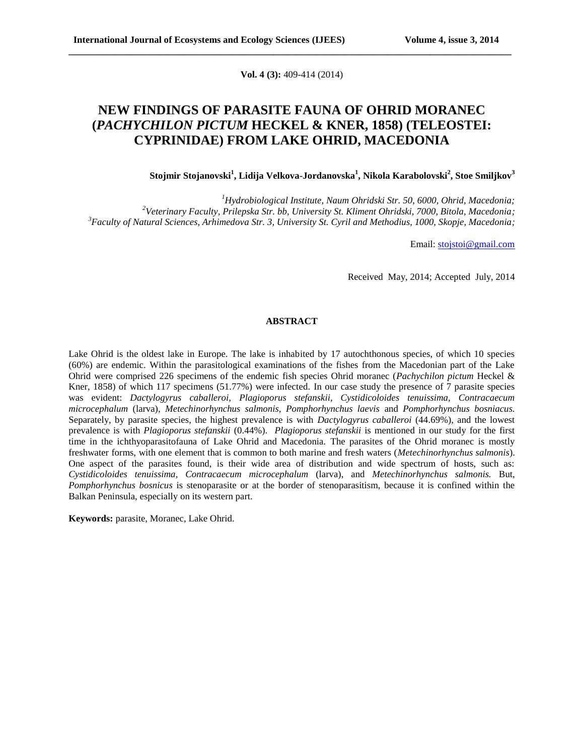**Vol. 4 (3):** 409-414 (2014)

**\_\_\_\_\_\_\_\_\_\_\_\_\_\_\_\_\_\_\_\_\_\_\_\_\_\_\_\_\_\_\_\_\_\_\_\_\_\_\_\_\_\_\_\_\_\_\_\_\_\_\_\_\_\_\_\_\_\_\_\_\_\_\_\_\_\_\_\_\_\_\_\_\_\_\_\_\_\_\_\_\_\_\_\_\_\_\_\_\_\_\_\_\_**

# **NEW FINDINGS OF PARASITE FAUNA OF OHRID MORANEC (***PACHYCHILON PICTUM* **HECKEL & KNER, 1858) (TELEOSTEI: CYPRINIDAE) FROM LAKE OHRID, MACEDONIA**

### **Stojmir Stojanovski<sup>1</sup> , Lidija Velkova-Jordanovska<sup>1</sup> , Nikola Karabolovski<sup>2</sup> , Stoe Smiljkov<sup>3</sup>**

*<sup>1</sup>Hydrobiological Institute, Naum Ohridski Str. 50, 6000, Ohrid, Macedonia; <sup>2</sup>Veterinary Faculty, Prilepska Str. bb, University St. Kliment Ohridski, 7000, Bitola, Macedonia; <sup>3</sup>Faculty of Natural Sciences, Arhimedova Str. 3, University St. Cyril and Methodius, 1000, Skopje, Macedonia;*

Email: [stojstoi@gmail.com](mailto:stojstoi@gmail.com)

Received May, 2014; Accepted July, 2014

### **ABSTRACT**

Lake Ohrid is the oldest lake in Europe. The lake is inhabited by 17 autochthonous species, of which 10 species (60%) are endemic. Within the parasitological examinations of the fishes from the Macedonian part of the Lake Ohrid were comprised 226 specimens of the endemic fish species Ohrid moranec (*Pachychilon pictum* Heckel & Kner, 1858) of which 117 specimens (51.77%) were infected. In our case study the presence of 7 parasite species was evident: *Dactylogyrus caballeroi, Plagioporus stefanskii, Cystidicoloides tenuissima, Contracaecum microcephalum* (larva), *Metechinorhynchus salmonis, Pomphorhynchus laevis* and *Pomphorhynchus bosniacus.*  Separately, by parasite species, the highest prevalence is with *Dactylogyrus caballeroi* (44.69%), and the lowest prevalence is with *Plagioporus stefanskii* (0.44%). *Plagioporus stefanskii* is mentioned in our study for the first time in the ichthyoparasitofauna of Lake Ohrid and Macedonia. The parasites of the Ohrid moranec is mostly freshwater forms, with one element that is common to both marine and fresh waters (*Metechinorhynchus salmonis*). One aspect of the parasites found, is their wide area of distribution and wide spectrum of hosts, such as: *Cystidicoloides tenuissima, Contracaecum microcephalum* (larva), and *Metechinorhynchus salmonis.* But, *Pomphorhynchus bosnicus* is stenoparasite or at the border of stenoparasitism, because it is confined within the Balkan Peninsula, especially on its western part.

**Keywords:** parasite, Moranec, Lake Ohrid.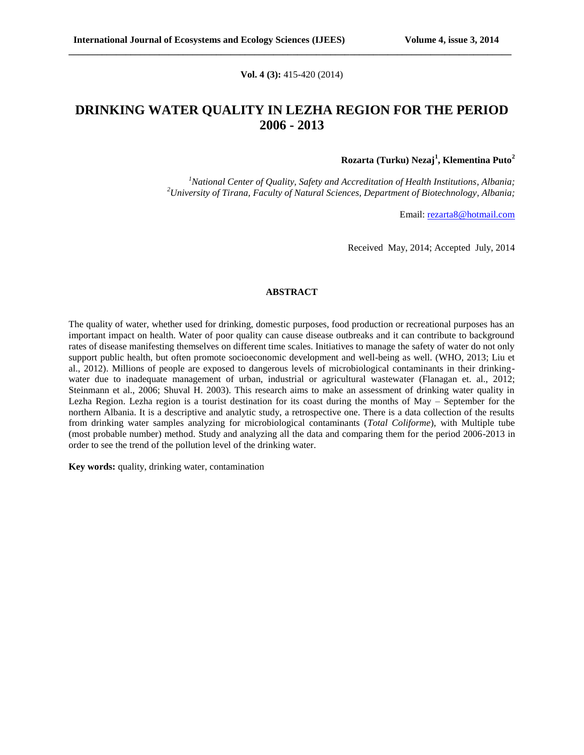#### **Vol. 4 (3):** 415-420 (2014)

**\_\_\_\_\_\_\_\_\_\_\_\_\_\_\_\_\_\_\_\_\_\_\_\_\_\_\_\_\_\_\_\_\_\_\_\_\_\_\_\_\_\_\_\_\_\_\_\_\_\_\_\_\_\_\_\_\_\_\_\_\_\_\_\_\_\_\_\_\_\_\_\_\_\_\_\_\_\_\_\_\_\_\_\_\_\_\_\_\_\_\_\_\_**

## **DRINKING WATER QUALITY IN LEZHA REGION FOR THE PERIOD 2006 - 2013**

### **Rozarta (Turku) Nezaj<sup>1</sup> , Klementina Puto<sup>2</sup>**

*<sup>1</sup>National Center of Quality, Safety and Accreditation of Health Institutions, Albania; <sup>2</sup>University of Tirana, Faculty of Natural Sciences, Department of Biotechnology, Albania;*

Email: [rezarta8@hotmail.com](mailto:rezarta8@hotmail.com)

Received May, 2014; Accepted July, 2014

#### **ABSTRACT**

The quality of water, whether used for drinking, domestic purposes, food production or recreational purposes has an important impact on health. Water of poor quality can cause disease outbreaks and it can contribute to background rates of disease manifesting themselves on different time scales. Initiatives to manage the safety of water do not only support public health, but often promote socioeconomic development and well-being as well. (WHO, 2013; Liu et al., 2012). Millions of people are exposed to dangerous levels of microbiological contaminants in their drinkingwater due to inadequate management of urban, industrial or agricultural wastewater (Flanagan et. al., 2012; Steinmann et al., 2006; Shuval H. 2003). This research aims to make an assessment of drinking water quality in Lezha Region. Lezha region is a tourist destination for its coast during the months of May – September for the northern Albania. It is a descriptive and analytic study, a retrospective one. There is a data collection of the results from drinking water samples analyzing for microbiological contaminants (*Total Coliforme*), with Multiple tube (most probable number) method. Study and analyzing all the data and comparing them for the period 2006-2013 in order to see the trend of the pollution level of the drinking water.

**Key words:** quality, drinking water, contamination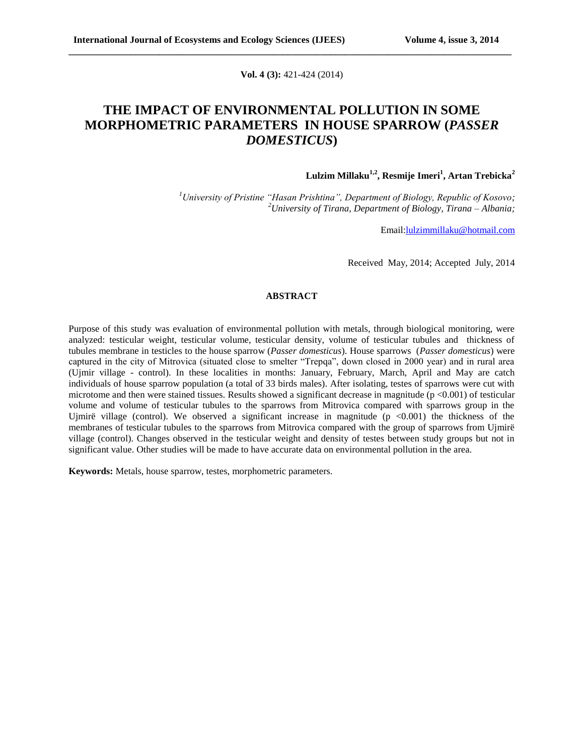**Vol. 4 (3):** 421-424 (2014)

**\_\_\_\_\_\_\_\_\_\_\_\_\_\_\_\_\_\_\_\_\_\_\_\_\_\_\_\_\_\_\_\_\_\_\_\_\_\_\_\_\_\_\_\_\_\_\_\_\_\_\_\_\_\_\_\_\_\_\_\_\_\_\_\_\_\_\_\_\_\_\_\_\_\_\_\_\_\_\_\_\_\_\_\_\_\_\_\_\_\_\_\_\_**

# **THE IMPACT OF ENVIRONMENTAL POLLUTION IN SOME MORPHOMETRIC PARAMETERS IN HOUSE SPARROW (***PASSER DOMESTICUS***)**

 **Lulzim Millaku1,2, Resmije Imeri<sup>1</sup> , Artan Trebicka<sup>2</sup>**

*<sup>1</sup>University of Pristine "Hasan Prishtina", Department of Biology, Republic of Kosovo; <sup>2</sup>University of Tirana, Department of Biology, Tirana – Albania;*

Email[:lulzimmillaku@hotmail.com](mailto:lulzimmillaku@hotmail.com)

Received May, 2014; Accepted July, 2014

### **ABSTRACT**

Purpose of this study was evaluation of environmental pollution with metals, through biological monitoring, were analyzed: testicular weight, testicular volume, testicular density, volume of testicular tubules and thickness of tubules membrane in testicles to the house sparrow (*Passer domesticus*). House sparrows (*Passer domesticus*) were captured in the city of Mitrovica (situated close to smelter "Trepqa", down closed in 2000 year) and in rural area (Ujmir village - control). In these localities in months: January, February, March, April and May are catch individuals of house sparrow population (a total of 33 birds males). After isolating, testes of sparrows were cut with microtome and then were stained tissues. Results showed a significant decrease in magnitude (p <0.001) of testicular volume and volume of testicular tubules to the sparrows from Mitrovica compared with sparrows group in the Ujmirë village (control). We observed a significant increase in magnitude  $(p \lt 0.001)$  the thickness of the membranes of testicular tubules to the sparrows from Mitrovica compared with the group of sparrows from Ujmirë village (control). Changes observed in the testicular weight and density of testes between study groups but not in significant value. Other studies will be made to have accurate data on environmental pollution in the area.

**Keywords:** Metals, house sparrow, testes, morphometric parameters.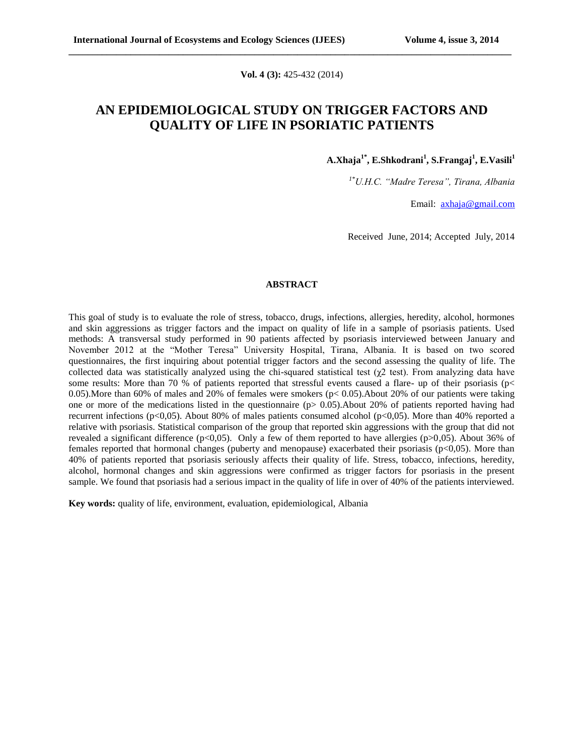**Vol. 4 (3):** 425-432 (2014)

**\_\_\_\_\_\_\_\_\_\_\_\_\_\_\_\_\_\_\_\_\_\_\_\_\_\_\_\_\_\_\_\_\_\_\_\_\_\_\_\_\_\_\_\_\_\_\_\_\_\_\_\_\_\_\_\_\_\_\_\_\_\_\_\_\_\_\_\_\_\_\_\_\_\_\_\_\_\_\_\_\_\_\_\_\_\_\_\_\_\_\_\_\_**

# **AN EPIDEMIOLOGICAL STUDY ON TRIGGER FACTORS AND QUALITY OF LIFE IN PSORIATIC PATIENTS**

**A.Xhaja 1\*, E.Shkodrani<sup>1</sup> , S.Frangaj<sup>1</sup> , E.Vasili<sup>1</sup>**

*1\*U.H.C. "Madre Teresa", Tirana, Albania*

Email: [axhaja@gmail.com](mailto:axhaja@gmail.com)

Received June, 2014; Accepted July, 2014

#### **ABSTRACT**

This goal of study is to evaluate the role of stress, tobacco, drugs, infections, allergies, heredity, alcohol, hormones and skin aggressions as trigger factors and the impact on quality of life in a sample of psoriasis patients. Used methods: A transversal study performed in 90 patients affected by psoriasis interviewed between January and November 2012 at the "Mother Teresa" University Hospital, Tirana, Albania. It is based on two scored questionnaires, the first inquiring about potential trigger factors and the second assessing the quality of life. The collected data was statistically analyzed using the chi-squared statistical test  $(\gamma^2 \text{ test})$ . From analyzing data have some results: More than 70 % of patients reported that stressful events caused a flare- up of their psoriasis (p< 0.05).More than 60% of males and 20% of females were smokers (p< 0.05).About 20% of our patients were taking one or more of the medications listed in the questionnaire  $(p> 0.05)$ . About 20% of patients reported having had recurrent infections (p<0,05). About 80% of males patients consumed alcohol (p<0,05). More than 40% reported a relative with psoriasis. Statistical comparison of the group that reported skin aggressions with the group that did not revealed a significant difference ( $p<0.05$ ). Only a few of them reported to have allergies ( $p>0.05$ ). About 36% of females reported that hormonal changes (puberty and menopause) exacerbated their psoriasis ( $p<0,05$ ). More than 40% of patients reported that psoriasis seriously affects their quality of life. Stress, tobacco, infections, heredity, alcohol, hormonal changes and skin aggressions were confirmed as trigger factors for psoriasis in the present sample. We found that psoriasis had a serious impact in the quality of life in over of 40% of the patients interviewed.

**Key words:** quality of life, environment, evaluation, epidemiological, Albania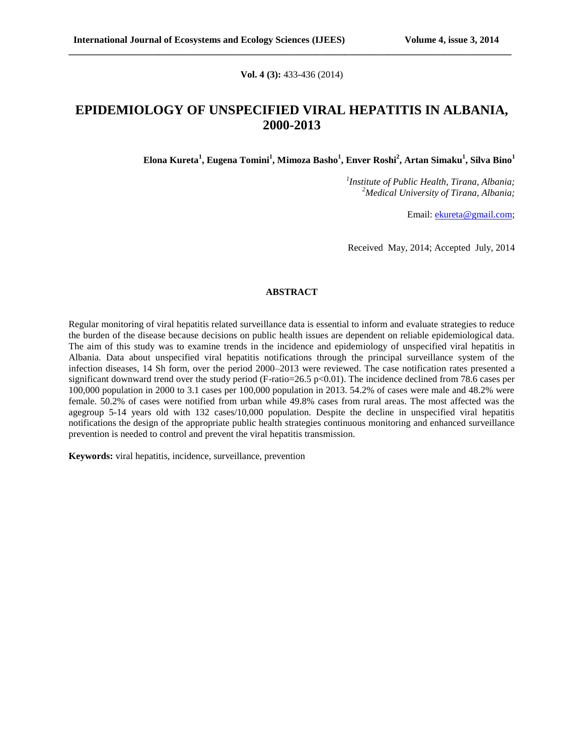#### **Vol. 4 (3):** 433-436 (2014)

**\_\_\_\_\_\_\_\_\_\_\_\_\_\_\_\_\_\_\_\_\_\_\_\_\_\_\_\_\_\_\_\_\_\_\_\_\_\_\_\_\_\_\_\_\_\_\_\_\_\_\_\_\_\_\_\_\_\_\_\_\_\_\_\_\_\_\_\_\_\_\_\_\_\_\_\_\_\_\_\_\_\_\_\_\_\_\_\_\_\_\_\_\_**

# **EPIDEMIOLOGY OF UNSPECIFIED VIRAL HEPATITIS IN ALBANIA, 2000-2013**

**Elona Kureta<sup>1</sup> , Eugena Tomini<sup>1</sup> , Mimoza Basho<sup>1</sup> , Enver Roshi<sup>2</sup> , Artan Simaku<sup>1</sup> , Silva Bino<sup>1</sup>**

*1 Institute of Public Health, Tirana, Albania; <sup>2</sup>Medical University of Tirana, Albania;*

Email: [ekureta@gmail.com;](mailto:ekureta@gmail.com)

Received May, 2014; Accepted July, 2014

#### **ABSTRACT**

Regular monitoring of viral hepatitis related surveillance data is essential to inform and evaluate strategies to reduce the burden of the disease because decisions on public health issues are dependent on reliable epidemiological data. The aim of this study was to examine trends in the incidence and epidemiology of unspecified viral hepatitis in Albania. Data about unspecified viral hepatitis notifications through the principal surveillance system of the infection diseases, 14 Sh form, over the period 2000–2013 were reviewed. The case notification rates presented a significant downward trend over the study period (F-ratio=26.5 p<0.01). The incidence declined from 78.6 cases per 100,000 population in 2000 to 3.1 cases per 100,000 population in 2013. 54.2% of cases were male and 48.2% were female. 50.2% of cases were notified from urban while 49.8% cases from rural areas. The most affected was the agegroup 5-14 years old with 132 cases/10,000 population. Despite the decline in unspecified viral hepatitis notifications the design of the appropriate public health strategies continuous monitoring and enhanced surveillance prevention is needed to control and prevent the viral hepatitis transmission.

**Keywords:** viral hepatitis, incidence, surveillance, prevention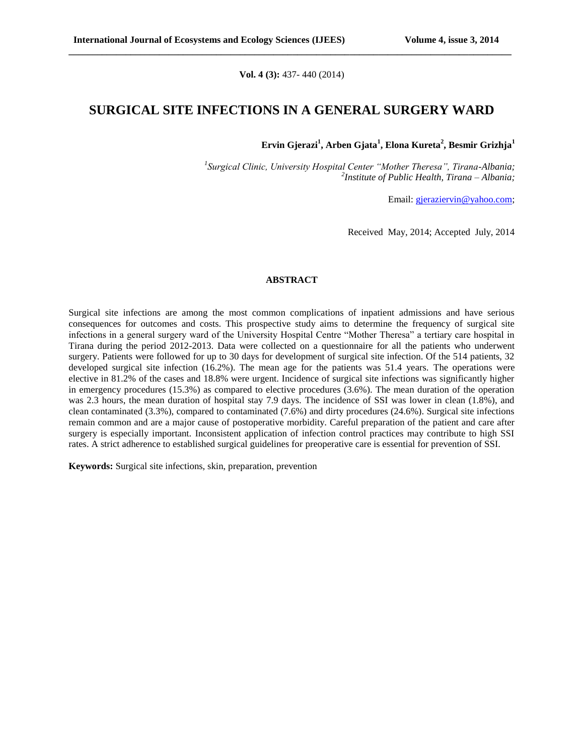**Vol. 4 (3):** 437- 440 (2014)

**\_\_\_\_\_\_\_\_\_\_\_\_\_\_\_\_\_\_\_\_\_\_\_\_\_\_\_\_\_\_\_\_\_\_\_\_\_\_\_\_\_\_\_\_\_\_\_\_\_\_\_\_\_\_\_\_\_\_\_\_\_\_\_\_\_\_\_\_\_\_\_\_\_\_\_\_\_\_\_\_\_\_\_\_\_\_\_\_\_\_\_\_\_**

### **SURGICAL SITE INFECTIONS IN A GENERAL SURGERY WARD**

**Ervin Gjerazi<sup>1</sup> , Arben Gjata<sup>1</sup> , Elona Kureta<sup>2</sup> , Besmir Grizhja<sup>1</sup>**

*1 Surgical Clinic, University Hospital Center "Mother Theresa", Tirana-Albania; 2 Institute of Public Health, Tirana – Albania;*

Email: [gjeraziervin@yahoo.com;](mailto:gjeraziervin@yahoo.com)

Received May, 2014; Accepted July, 2014

#### **ABSTRACT**

Surgical site infections are among the most common complications of inpatient admissions and have serious consequences for outcomes and costs. This prospective study aims to determine the frequency of surgical site infections in a general surgery ward of the University Hospital Centre "Mother Theresa" a tertiary care hospital in Tirana during the period 2012-2013. Data were collected on a questionnaire for all the patients who underwent surgery. Patients were followed for up to 30 days for development of surgical site infection. Of the 514 patients, 32 developed surgical site infection (16.2%). The mean age for the patients was 51.4 years. The operations were elective in 81.2% of the cases and 18.8% were urgent. Incidence of surgical site infections was significantly higher in emergency procedures (15.3%) as compared to elective procedures (3.6%). The mean duration of the operation was 2.3 hours, the mean duration of hospital stay 7.9 days. The incidence of SSI was lower in clean (1.8%), and clean contaminated (3.3%), compared to contaminated (7.6%) and dirty procedures (24.6%). Surgical site infections remain common and are a major cause of postoperative morbidity. Careful preparation of the patient and care after surgery is especially important. Inconsistent application of infection control practices may contribute to high SSI rates. A strict adherence to established surgical guidelines for preoperative care is essential for prevention of SSI.

**Keywords:** Surgical site infections, skin, preparation, prevention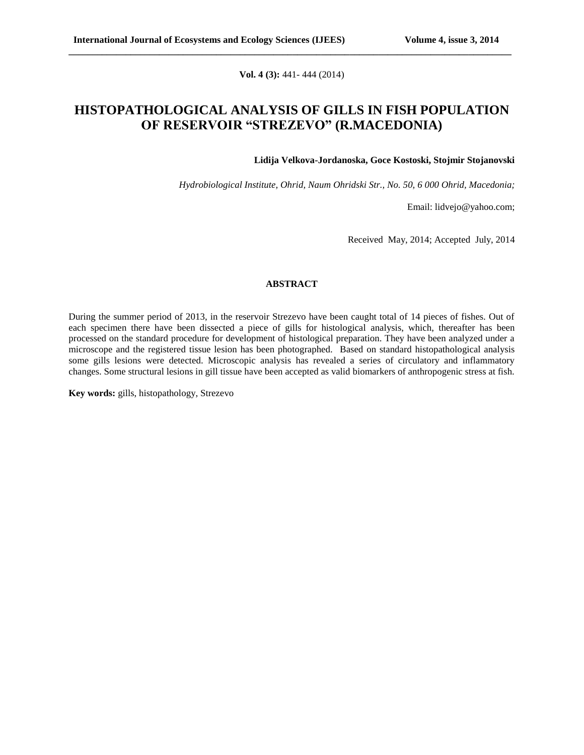**Vol. 4 (3):** 441- 444 (2014)

**\_\_\_\_\_\_\_\_\_\_\_\_\_\_\_\_\_\_\_\_\_\_\_\_\_\_\_\_\_\_\_\_\_\_\_\_\_\_\_\_\_\_\_\_\_\_\_\_\_\_\_\_\_\_\_\_\_\_\_\_\_\_\_\_\_\_\_\_\_\_\_\_\_\_\_\_\_\_\_\_\_\_\_\_\_\_\_\_\_\_\_\_\_**

### **HISTOPATHOLOGICAL ANALYSIS OF GILLS IN FISH POPULATION OF RESERVOIR "STREZEVO" (R.MACEDONIA)**

**Lidija Velkova-Jordanoska, Goce Kostoski, Stojmir Stojanovski** 

*Hydrobiological Institute, Ohrid, Naum Ohridski Str., No. 50, 6 000 Ohrid, Macedonia;*

Email: [lidvejo@yahoo.com;](mailto:lidvejo@yahoo.com)

Received May, 2014; Accepted July, 2014

### **ABSTRACT**

During the summer period of 2013, in the reservoir Strezevo have been caught total of 14 pieces of fishes. Out of each specimen there have been dissected a piece of gills for histological analysis, which, thereafter has been processed on the standard procedure for development of histological preparation. They have been analyzed under a microscope and the registered tissue lesion has been photographed. Based on standard histopathological analysis some gills lesions were detected. Microscopic analysis has revealed a series of circulatory and inflammatory changes. Some structural lesions in gill tissue have been accepted as valid biomarkers of anthropogenic stress at fish.

**Key words:** gills, histopathology, Strezevo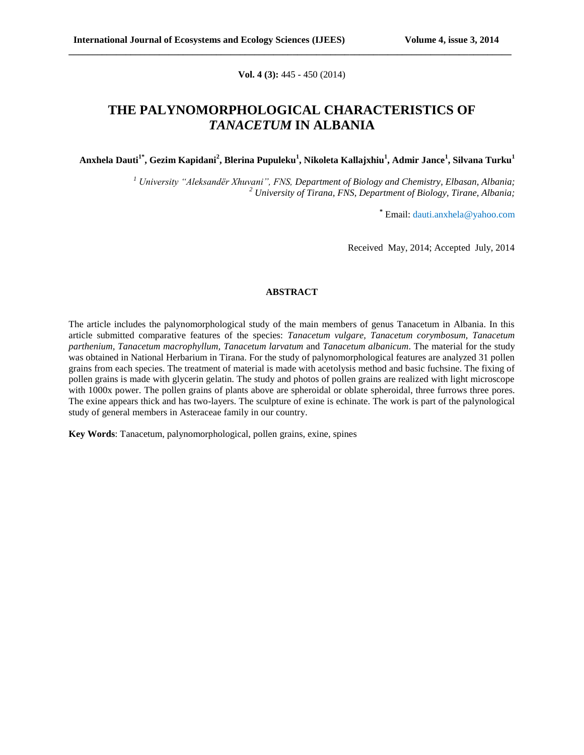**Vol. 4 (3):** 445 - 450 (2014)

**\_\_\_\_\_\_\_\_\_\_\_\_\_\_\_\_\_\_\_\_\_\_\_\_\_\_\_\_\_\_\_\_\_\_\_\_\_\_\_\_\_\_\_\_\_\_\_\_\_\_\_\_\_\_\_\_\_\_\_\_\_\_\_\_\_\_\_\_\_\_\_\_\_\_\_\_\_\_\_\_\_\_\_\_\_\_\_\_\_\_\_\_\_**

## **THE PALYNOMORPHOLOGICAL CHARACTERISTICS OF**  *TANACETUM* **IN ALBANIA**

**Anxhela Dauti1\*, Gezim Kapidani<sup>2</sup> , Blerina Pupuleku<sup>1</sup> , Nikoleta Kallajxhiu<sup>1</sup> , Admir Jance<sup>1</sup> , Silvana Turku<sup>1</sup>**

*<sup>1</sup> University "Aleksandër Xhuvani", FNS, Department of Biology and Chemistry, Elbasan, Albania; <sup>2</sup> University of Tirana, FNS, Department of Biology, Tirane, Albania;*

**\*** Email: [dauti.anxhela@yahoo.com](mailto:dauti.anxhela@yahoo.com)

Received May, 2014; Accepted July, 2014

### **ABSTRACT**

The article includes the palynomorphological study of the main members of genus Tanacetum in Albania. In this article submitted comparative features of the species: *Tanacetum vulgare, Tanacetum corymbosum, Tanacetum parthenium, Tanacetum macrophyllum, Tanacetum larvatum* and *Tanacetum albanicum*. The material for the study was obtained in National Herbarium in Tirana. For the study of palynomorphological features are analyzed 31 pollen grains from each species. The treatment of material is made with acetolysis method and basic fuchsine. The fixing of pollen grains is made with glycerin gelatin. The study and photos of pollen grains are realized with light microscope with 1000x power. The pollen grains of plants above are spheroidal or oblate spheroidal, three furrows three pores. The exine appears thick and has two-layers. The sculpture of exine is echinate. The work is part of the palynological study of general members in Asteraceae family in our country.

**Key Words**: Tanacetum, palynomorphological, pollen grains, exine, spines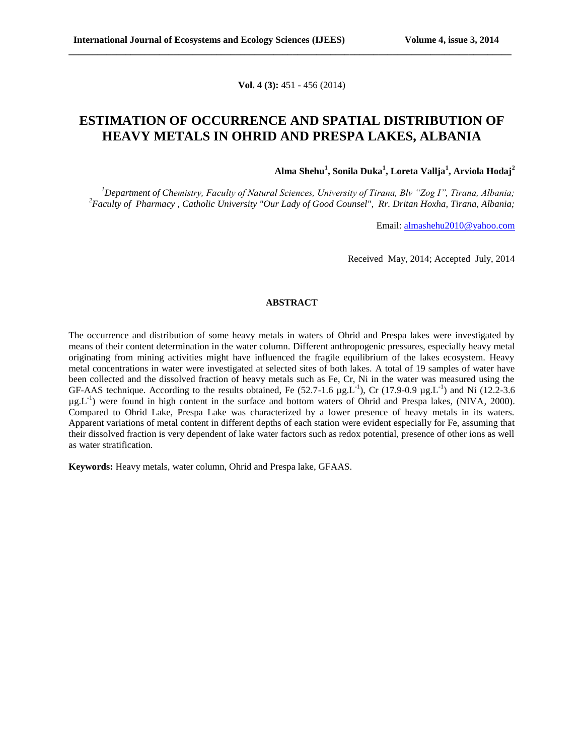**Vol. 4 (3):** 451 - 456 (2014)

**\_\_\_\_\_\_\_\_\_\_\_\_\_\_\_\_\_\_\_\_\_\_\_\_\_\_\_\_\_\_\_\_\_\_\_\_\_\_\_\_\_\_\_\_\_\_\_\_\_\_\_\_\_\_\_\_\_\_\_\_\_\_\_\_\_\_\_\_\_\_\_\_\_\_\_\_\_\_\_\_\_\_\_\_\_\_\_\_\_\_\_\_\_**

## **ESTIMATION OF OCCURRENCE AND SPATIAL DISTRIBUTION OF HEAVY METALS IN OHRID AND PRESPA LAKES, ALBANIA**

**Alma Shehu<sup>1</sup> , Sonila Duka<sup>1</sup> , Loreta Vallja<sup>1</sup> , Arviola Hodaj<sup>2</sup>**

*<sup>1</sup>Department of Chemistry, Faculty of Natural Sciences, University of Tirana, Blv "Zog I", Tirana, Albania; <sup>2</sup>Faculty of Pharmacy , Catholic University "Our Lady of Good Counsel", Rr. Dritan Hoxha, Tirana, Albania;*

Email: [almashehu2010@yahoo.com](mailto:almashehu2010@yahoo.com)

Received May, 2014; Accepted July, 2014

#### **ABSTRACT**

The occurrence and distribution of some heavy metals in waters of Ohrid and Prespa lakes were investigated by means of their content determination in the water column. Different anthropogenic pressures, especially heavy metal originating from mining activities might have influenced the fragile equilibrium of the lakes ecosystem. Heavy metal concentrations in water were investigated at selected sites of both lakes. A total of 19 samples of water have been collected and the dissolved fraction of heavy metals such as Fe, Cr, Ni in the water was measured using the GF-AAS technique. According to the results obtained, Fe (52.7-1.6  $\mu g$ L<sup>-1</sup>), Cr (17.9-0.9  $\mu g$ L<sup>-1</sup>) and Ni (12.2-3.6 µg.L-1 ) were found in high content in the surface and bottom waters of Ohrid and Prespa lakes, (NIVA*,* 2000). Compared to Ohrid Lake, Prespa Lake was characterized by a lower presence of heavy metals in its waters. Apparent variations of metal content in different depths of each station were evident especially for Fe, assuming that their dissolved fraction is very dependent of lake water factors such as redox potential, presence of other ions as well as water stratification.

**Keywords:** Heavy metals, water column, Ohrid and Prespa lake, GFAAS.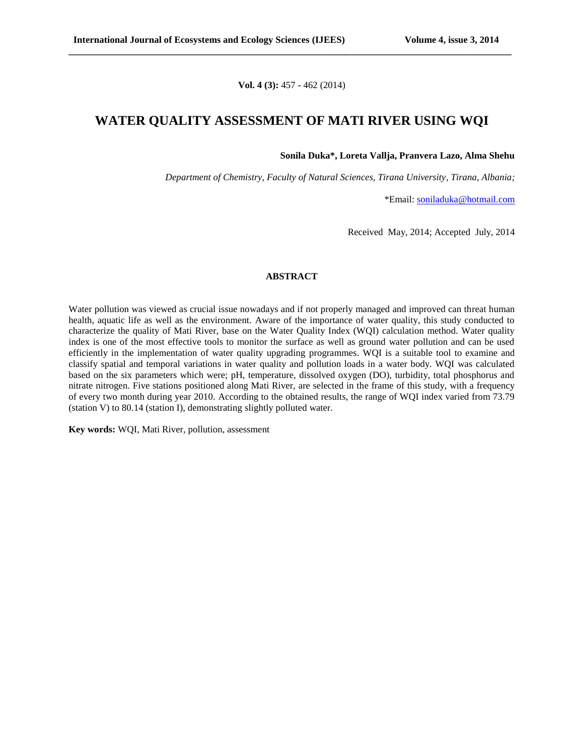**Vol. 4 (3):** 457 - 462 (2014)

**\_\_\_\_\_\_\_\_\_\_\_\_\_\_\_\_\_\_\_\_\_\_\_\_\_\_\_\_\_\_\_\_\_\_\_\_\_\_\_\_\_\_\_\_\_\_\_\_\_\_\_\_\_\_\_\_\_\_\_\_\_\_\_\_\_\_\_\_\_\_\_\_\_\_\_\_\_\_\_\_\_\_\_\_\_\_\_\_\_\_\_\_\_**

### **WATER QUALITY ASSESSMENT OF MATI RIVER USING WQI**

**Sonila Duka\*, Loreta Vallja, Pranvera Lazo, Alma Shehu**

*Department of Chemistry, Faculty of Natural Sciences, Tirana University, Tirana, Albania;*

\*Email: [soniladuka@hotmail.com](mailto:soniladuka@hotmail.com)

Received May, 2014; Accepted July, 2014

#### **ABSTRACT**

Water pollution was viewed as crucial issue nowadays and if not properly managed and improved can threat human health, aquatic life as well as the environment. Aware of the importance of water quality, this study conducted to characterize the quality of Mati River, base on the Water Quality Index (WQI) calculation method. Water quality index is one of the most effective tools to monitor the surface as well as ground water pollution and can be used efficiently in the implementation of water quality upgrading programmes. WQI is a suitable tool to examine and classify spatial and temporal variations in water quality and pollution loads in a water body. WQI was calculated based on the six parameters which were; pH, temperature, dissolved oxygen (DO), turbidity, total phosphorus and nitrate nitrogen. Five stations positioned along Mati River, are selected in the frame of this study, with a frequency of every two month during year 2010. According to the obtained results, the range of WQI index varied from 73.79 (station V) to 80.14 (station I), demonstrating slightly polluted water.

**Key words:** WQI, Mati River, pollution, assessment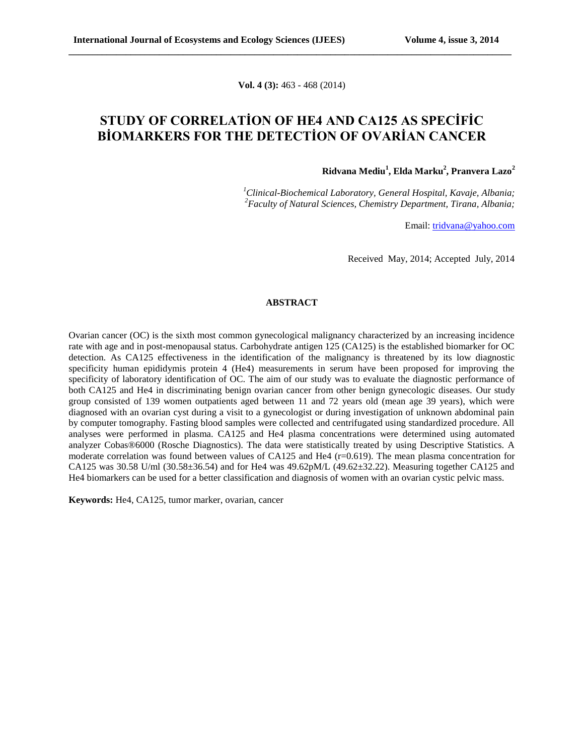**Vol. 4 (3):** 463 - 468 (2014)

**\_\_\_\_\_\_\_\_\_\_\_\_\_\_\_\_\_\_\_\_\_\_\_\_\_\_\_\_\_\_\_\_\_\_\_\_\_\_\_\_\_\_\_\_\_\_\_\_\_\_\_\_\_\_\_\_\_\_\_\_\_\_\_\_\_\_\_\_\_\_\_\_\_\_\_\_\_\_\_\_\_\_\_\_\_\_\_\_\_\_\_\_\_**

# **STUDY OF CORRELATİON OF HE4 AND CA125 AS SPECİFİC BİOMARKERS FOR THE DETECTİON OF OVARİAN CANCER**

**Ridvana Mediu<sup>1</sup> , Elda Marku<sup>2</sup> , Pranvera Lazo<sup>2</sup>**

*<sup>1</sup>Clinical-Biochemical Laboratory, General Hospital, Kavaje, Albania; <sup>2</sup>Faculty of Natural Sciences, Chemistry Department, Tirana, Albania;*

Email: [tridvana@yahoo.com](mailto:tridvana@yahoo.com)

Received May, 2014; Accepted July, 2014

#### **ABSTRACT**

Ovarian cancer (OC) is the sixth most common gynecological malignancy characterized by an increasing incidence rate with age and in post-menopausal status. Carbohydrate antigen 125 (CA125) is the established biomarker for OC detection. As CA125 effectiveness in the identification of the malignancy is threatened by its low diagnostic specificity human epididymis protein 4 (He4) measurements in serum have been proposed for improving the specificity of laboratory identification of OC. The aim of our study was to evaluate the diagnostic performance of both CA125 and He4 in discriminating benign ovarian cancer from other benign gynecologic diseases. Our study group consisted of 139 women outpatients aged between 11 and 72 years old (mean age 39 years), which were diagnosed with an ovarian cyst during a visit to a gynecologist or during investigation of unknown abdominal pain by computer tomography. Fasting blood samples were collected and centrifugated using standardized procedure. All analyses were performed in plasma. CA125 and He4 plasma concentrations were determined using automated analyzer Cobas®6000 (Rosche Diagnostics). The data were statistically treated by using Descriptive Statistics. A moderate correlation was found between values of CA125 and He4 (r=0.619). The mean plasma concentration for CA125 was 30.58 U/ml (30.58±36.54) and for He4 was 49.62pM/L (49.62±32.22). Measuring together CA125 and He4 biomarkers can be used for a better classification and diagnosis of women with an ovarian cystic pelvic mass.

**Keywords:** He4, CA125, tumor marker, ovarian, cancer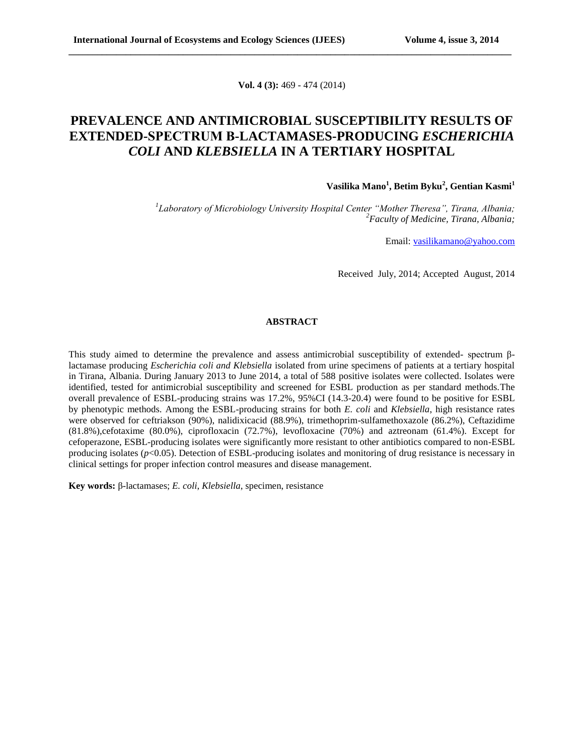**Vol. 4 (3):** 469 - 474 (2014)

**\_\_\_\_\_\_\_\_\_\_\_\_\_\_\_\_\_\_\_\_\_\_\_\_\_\_\_\_\_\_\_\_\_\_\_\_\_\_\_\_\_\_\_\_\_\_\_\_\_\_\_\_\_\_\_\_\_\_\_\_\_\_\_\_\_\_\_\_\_\_\_\_\_\_\_\_\_\_\_\_\_\_\_\_\_\_\_\_\_\_\_\_\_**

# **PREVALENCE AND ANTIMICROBIAL SUSCEPTIBILITY RESULTS OF EXTENDED-SPECTRUM Β-LACTAMASES-PRODUCING** *ESCHERICHIA COLI* **AND** *KLEBSIELLA* **IN A TERTIARY HOSPITAL**

### **Vasilika Mano<sup>1</sup> , Betim Byku<sup>2</sup> , Gentian Kasmi<sup>1</sup>**

*1 Laboratory of Microbiology University Hospital Center "Mother Theresa", Tirana, Albania; <sup>2</sup>Faculty of Medicine, Tirana, Albania;*

Email: [vasilikamano@yahoo.com](mailto:vasilikamano@yahoo.com)

Received July, 2014; Accepted August, 2014

#### **ABSTRACT**

This study aimed to determine the prevalence and assess antimicrobial susceptibility of extended- spectrum βlactamase producing *Escherichia coli and Klebsiella* isolated from urine specimens of patients at a tertiary hospital in Tirana, Albania. During January 2013 to June 2014, a total of 588 positive isolates were collected. Isolates were identified, tested for antimicrobial susceptibility and screened for ESBL production as per standard methods.The overall prevalence of ESBL-producing strains was 17.2%, 95%CI (14.3-20.4) were found to be positive for ESBL by phenotypic methods. Among the ESBL-producing strains for both *E. coli* and *Klebsiella*, high resistance rates were observed for ceftriakson (90%), nalidixicacid (88.9%), trimethoprim-sulfamethoxazole (86.2%), Ceftazidime (81.8%),cefotaxime (80.0%), ciprofloxacin (72.7%), levofloxacine (70%) and aztreonam (61.4%). Except for cefoperazone, ESBL-producing isolates were significantly more resistant to other antibiotics compared to non-ESBL producing isolates (*p*<0.05). Detection of ESBL-producing isolates and monitoring of drug resistance is necessary in clinical settings for proper infection control measures and disease management.

**Key words:** β-lactamases; *E. coli*, *Klebsiella*, specimen, resistance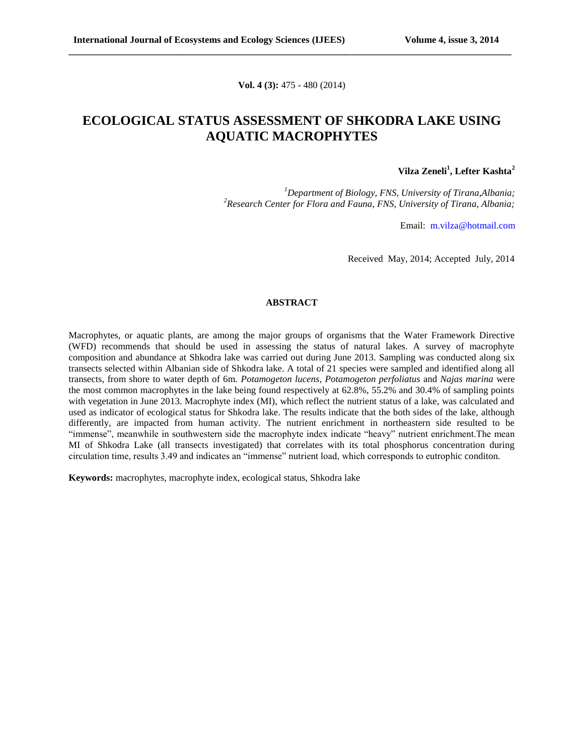**Vol. 4 (3):** 475 - 480 (2014)

**\_\_\_\_\_\_\_\_\_\_\_\_\_\_\_\_\_\_\_\_\_\_\_\_\_\_\_\_\_\_\_\_\_\_\_\_\_\_\_\_\_\_\_\_\_\_\_\_\_\_\_\_\_\_\_\_\_\_\_\_\_\_\_\_\_\_\_\_\_\_\_\_\_\_\_\_\_\_\_\_\_\_\_\_\_\_\_\_\_\_\_\_\_**

## **ECOLOGICAL STATUS ASSESSMENT OF SHKODRA LAKE USING AQUATIC MACROPHYTES**

### **Vilza Zeneli<sup>1</sup> , Lefter Kashta<sup>2</sup>**

*<sup>1</sup>Department of Biology, FNS, University of Tirana,Albania; <sup>2</sup>Research Center for Flora and Fauna, FNS, University of Tirana, Albania;*

Email: [m.vilza@hotmail.com](mailto:m.vilza@hotmail.com)

Received May, 2014; Accepted July, 2014

#### **ABSTRACT**

Macrophytes, or aquatic plants, are among the major groups of organisms that the Water Framework Directive (WFD) recommends that should be used in assessing the status of natural lakes. A survey of macrophyte composition and abundance at Shkodra lake was carried out during June 2013. Sampling was conducted along six transects selected within Albanian side of Shkodra lake. A total of 21 species were sampled and identified along all transects, from shore to water depth of 6m. *Potamogeton lucens*, *Potamogeton perfoliatus* and *Najas marina* were the most common macrophytes in the lake being found respectively at 62.8%, 55.2% and 30.4% of sampling points with vegetation in June 2013. Macrophyte index (MI), which reflect the nutrient status of a lake, was calculated and used as indicator of ecological status for Shkodra lake. The results indicate that the both sides of the lake, although differently, are impacted from human activity. The nutrient enrichment in northeastern side resulted to be "immense", meanwhile in southwestern side the macrophyte index indicate "heavy" nutrient enrichment.The mean MI of Shkodra Lake (all transects investigated) that correlates with its total phosphorus concentration during circulation time, results 3.49 and indicates an "immense" nutrient load, which corresponds to eutrophic conditon.

**Keywords:** macrophytes, macrophyte index, ecological status, Shkodra lake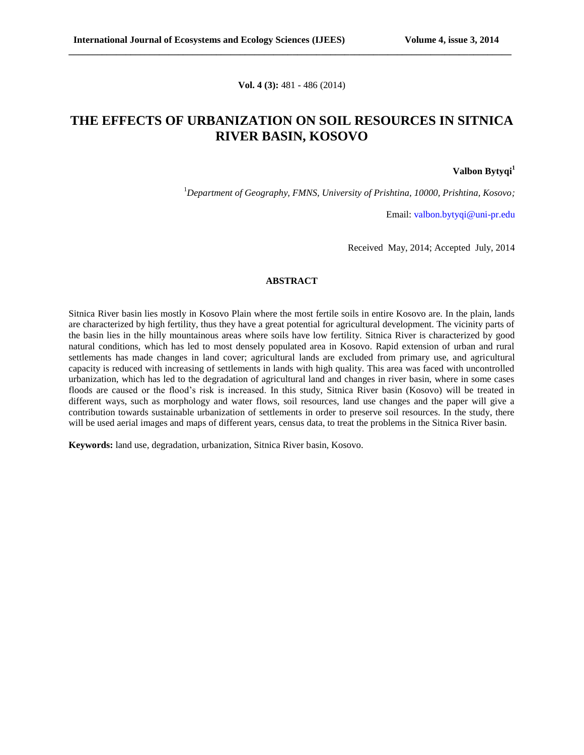**Vol. 4 (3):** 481 - 486 (2014)

**\_\_\_\_\_\_\_\_\_\_\_\_\_\_\_\_\_\_\_\_\_\_\_\_\_\_\_\_\_\_\_\_\_\_\_\_\_\_\_\_\_\_\_\_\_\_\_\_\_\_\_\_\_\_\_\_\_\_\_\_\_\_\_\_\_\_\_\_\_\_\_\_\_\_\_\_\_\_\_\_\_\_\_\_\_\_\_\_\_\_\_\_\_**

## **THE EFFECTS OF URBANIZATION ON SOIL RESOURCES IN SITNICA RIVER BASIN, KOSOVO**

**Valbon Bytyqi 1**

<sup>1</sup>*Department of Geography, FMNS, University of Prishtina, 10000, Prishtina, Kosovo;*

Email: [valbon.bytyqi@uni-pr.edu](mailto:valbon.bytyqi@uni-pr.edu)

Received May, 2014; Accepted July, 2014

### **ABSTRACT**

Sitnica River basin lies mostly in Kosovo Plain where the most fertile soils in entire Kosovo are. In the plain, lands are characterized by high fertility, thus they have a great potential for agricultural development. The vicinity parts of the basin lies in the hilly mountainous areas where soils have low fertility. Sitnica River is characterized by good natural conditions, which has led to most densely populated area in Kosovo. Rapid extension of urban and rural settlements has made changes in land cover; agricultural lands are excluded from primary use, and agricultural capacity is reduced with increasing of settlements in lands with high quality. This area was faced with uncontrolled urbanization, which has led to the degradation of agricultural land and changes in river basin, where in some cases floods are caused or the flood's risk is increased. In this study, Sitnica River basin (Kosovo) will be treated in different ways, such as morphology and water flows, soil resources, land use changes and the paper will give a contribution towards sustainable urbanization of settlements in order to preserve soil resources. In the study, there will be used aerial images and maps of different years, census data, to treat the problems in the Sitnica River basin.

**Keywords:** land use, degradation, urbanization, Sitnica River basin, Kosovo.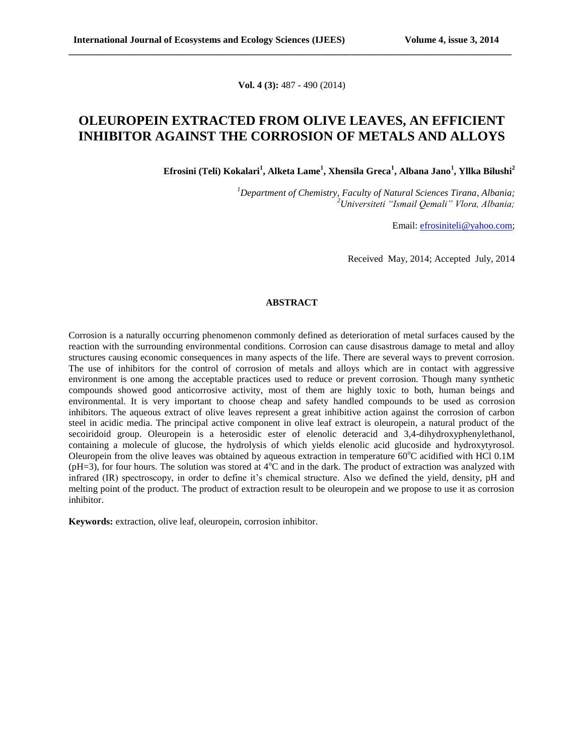**Vol. 4 (3):** 487 - 490 (2014)

**\_\_\_\_\_\_\_\_\_\_\_\_\_\_\_\_\_\_\_\_\_\_\_\_\_\_\_\_\_\_\_\_\_\_\_\_\_\_\_\_\_\_\_\_\_\_\_\_\_\_\_\_\_\_\_\_\_\_\_\_\_\_\_\_\_\_\_\_\_\_\_\_\_\_\_\_\_\_\_\_\_\_\_\_\_\_\_\_\_\_\_\_\_**

### **OLEUROPEIN EXTRACTED FROM OLIVE LEAVES, AN EFFICIENT INHIBITOR AGAINST THE CORROSION OF METALS AND ALLOYS**

**Efrosini (Teli) Kokalari<sup>1</sup> , Alketa Lame<sup>1</sup> , Xhensila Greca<sup>1</sup> , Albana Jano<sup>1</sup> , Yllka Bilushi<sup>2</sup>**

*<sup>1</sup>Department of Chemistry, Faculty of Natural Sciences Tirana, Albania; <sup>2</sup>Universiteti "Ismail Qemali" Vlora, Albania;*

Email[: efrosiniteli@yahoo.com;](mailto:efrosiniteli@yahoo.com)

Received May, 2014; Accepted July, 2014

### **ABSTRACT**

Corrosion is a naturally occurring phenomenon commonly defined as deterioration of metal surfaces caused by the reaction with the surrounding environmental conditions. Corrosion can cause disastrous damage to metal and alloy structures causing economic consequences in many aspects of the life. There are several ways to prevent corrosion. The use of inhibitors for the control of corrosion of metals and alloys which are in contact with aggressive environment is one among the acceptable practices used to reduce or prevent corrosion. Though many synthetic compounds showed good anticorrosive activity, most of them are highly toxic to both, human beings and environmental. It is very important to choose cheap and safety handled compounds to be used as corrosion inhibitors. The aqueous extract of olive leaves represent a great inhibitive action against the corrosion of carbon steel in acidic media. The principal active component in olive leaf extract is oleuropein, a natural product of the secoiridoid group. Oleuropein is a heterosidic ester of elenolic deteracid and 3,4-dihydroxyphenylethanol, containing a molecule of glucose, the hydrolysis of which yields elenolic acid glucoside and hydroxytyrosol. Oleuropein from the olive leaves was obtained by aqueous extraction in temperature  $60^{\circ}$ C acidified with HCl 0.1M ( $pH=3$ ), for four hours. The solution was stored at  $4^{\circ}C$  and in the dark. The product of extraction was analyzed with infrared (IR) spectroscopy, in order to define it's chemical structure. Also we defined the yield, density, pH and melting point of the product. The product of extraction result to be oleuropein and we propose to use it as corrosion inhibitor.

**Keywords:** extraction, olive leaf, oleuropein, corrosion inhibitor.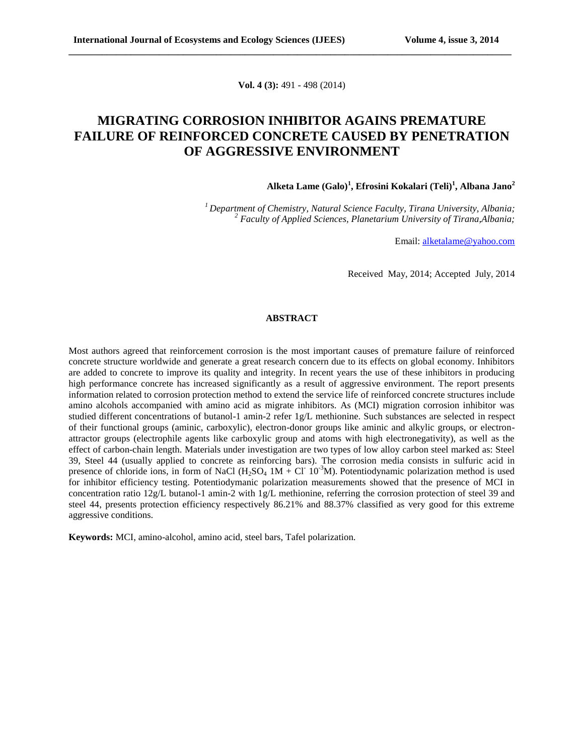**Vol. 4 (3):** 491 - 498 (2014)

**\_\_\_\_\_\_\_\_\_\_\_\_\_\_\_\_\_\_\_\_\_\_\_\_\_\_\_\_\_\_\_\_\_\_\_\_\_\_\_\_\_\_\_\_\_\_\_\_\_\_\_\_\_\_\_\_\_\_\_\_\_\_\_\_\_\_\_\_\_\_\_\_\_\_\_\_\_\_\_\_\_\_\_\_\_\_\_\_\_\_\_\_\_**

# **MIGRATING CORROSION INHIBITOR AGAINS PREMATURE FAILURE OF REINFORCED CONCRETE CAUSED BY PENETRATION OF AGGRESSIVE ENVIRONMENT**

**Alketa Lame (Galo)<sup>1</sup> , Efrosini Kokalari (Teli)<sup>1</sup> , Albana Jano<sup>2</sup>**

*<sup>1</sup>Department of Chemistry, Natural Science Faculty, Tirana University, Albania; <sup>2</sup> Faculty of Applied Sciences, Planetarium University of Tirana,Albania;*

Email: [alketalame@yahoo.com](mailto:alketalame@yahoo.com)

Received May, 2014; Accepted July, 2014

#### **ABSTRACT**

Most authors agreed that reinforcement corrosion is the most important causes of premature failure of reinforced concrete structure worldwide and generate a great research concern due to its effects on global economy. Inhibitors are added to concrete to improve its quality and integrity. In recent years the use of these inhibitors in producing high performance concrete has increased significantly as a result of aggressive environment. The report presents information related to corrosion protection method to extend the service life of reinforced concrete structures include amino alcohols accompanied with amino acid as migrate inhibitors. As (MCI) migration corrosion inhibitor was studied different concentrations of butanol-1 amin-2 refer 1g/L methionine. Such substances are selected in respect of their functional groups (aminic, carboxylic), electron-donor groups like aminic and alkylic groups, or electronattractor groups (electrophile agents like carboxylic group and atoms with high electronegativity), as well as the effect of carbon-chain length. Materials under investigation are two types of low alloy carbon steel marked as: Steel 39, Steel 44 (usually applied to concrete as reinforcing bars). The corrosion media consists in sulfuric acid in presence of chloride ions, in form of NaCl  $(H_2SO_4 \ 1M + CI \ 10^{-3}M)$ . Potentiodynamic polarization method is used for inhibitor efficiency testing. Potentiodymanic polarization measurements showed that the presence of MCI in concentration ratio 12g/L butanol-1 amin-2 with 1g/L methionine, referring the corrosion protection of steel 39 and steel 44, presents protection efficiency respectively 86.21% and 88.37% classified as very good for this extreme aggressive conditions.

**Keywords:** MCI, amino-alcohol, amino acid, steel bars, Tafel polarization.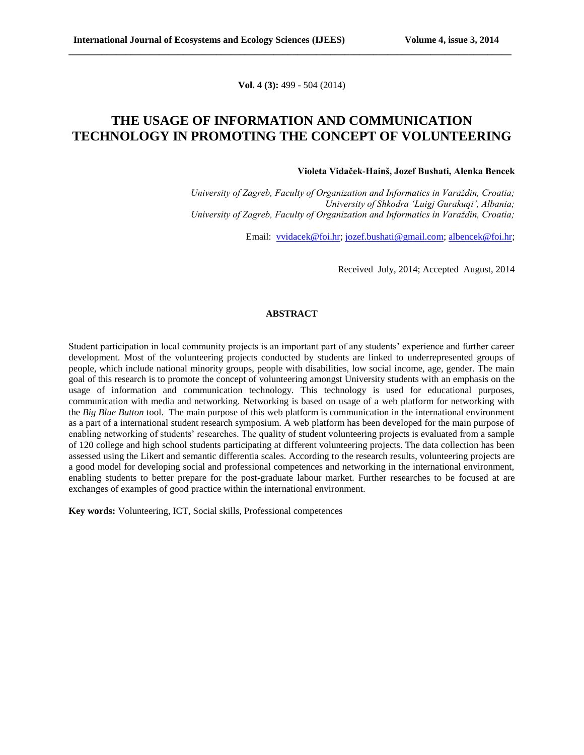**Vol. 4 (3):** 499 - 504 (2014)

**\_\_\_\_\_\_\_\_\_\_\_\_\_\_\_\_\_\_\_\_\_\_\_\_\_\_\_\_\_\_\_\_\_\_\_\_\_\_\_\_\_\_\_\_\_\_\_\_\_\_\_\_\_\_\_\_\_\_\_\_\_\_\_\_\_\_\_\_\_\_\_\_\_\_\_\_\_\_\_\_\_\_\_\_\_\_\_\_\_\_\_\_\_**

### **THE USAGE OF INFORMATION AND COMMUNICATION TECHNOLOGY IN PROMOTING THE CONCEPT OF VOLUNTEERING**

#### **Violeta Vidaček-Hainš, Jozef Bushati, Alenka Bencek**

*University of Zagreb, Faculty of Organization and Informatics in Varaždin, Croatia; University of Shkodra 'Luigj Gurakuqi', Albania; University of Zagreb, Faculty of Organization and Informatics in Varaždin, Croatia;*

Email: [vvidacek@foi.hr;](mailto:vvidacek@foi.hr) [jozef.bushati@gmail.com;](mailto:jozef.bushati@gmail.com) [albencek@foi.hr;](mailto:albencek@foi.hr)

Received July, 2014; Accepted August, 2014

#### **ABSTRACT**

Student participation in local community projects is an important part of any students' experience and further career development. Most of the volunteering projects conducted by students are linked to underrepresented groups of people, which include national minority groups, people with disabilities, low social income, age, gender. The main goal of this research is to promote the concept of volunteering amongst University students with an emphasis on the usage of information and communication technology. This technology is used for educational purposes, communication with media and networking. Networking is based on usage of a web platform for networking with the *Big Blue Button* tool. The main purpose of this web platform is communication in the international environment as a part of a international student research symposium. A web platform has been developed for the main purpose of enabling networking of students' researches. The quality of student volunteering projects is evaluated from a sample of 120 college and high school students participating at different volunteering projects. The data collection has been assessed using the Likert and semantic differentia scales. According to the research results, volunteering projects are a good model for developing social and professional competences and networking in the international environment, enabling students to better prepare for the post-graduate labour market. Further researches to be focused at are exchanges of examples of good practice within the international environment.

**Key words:** Volunteering, ICT, Social skills, Professional competences